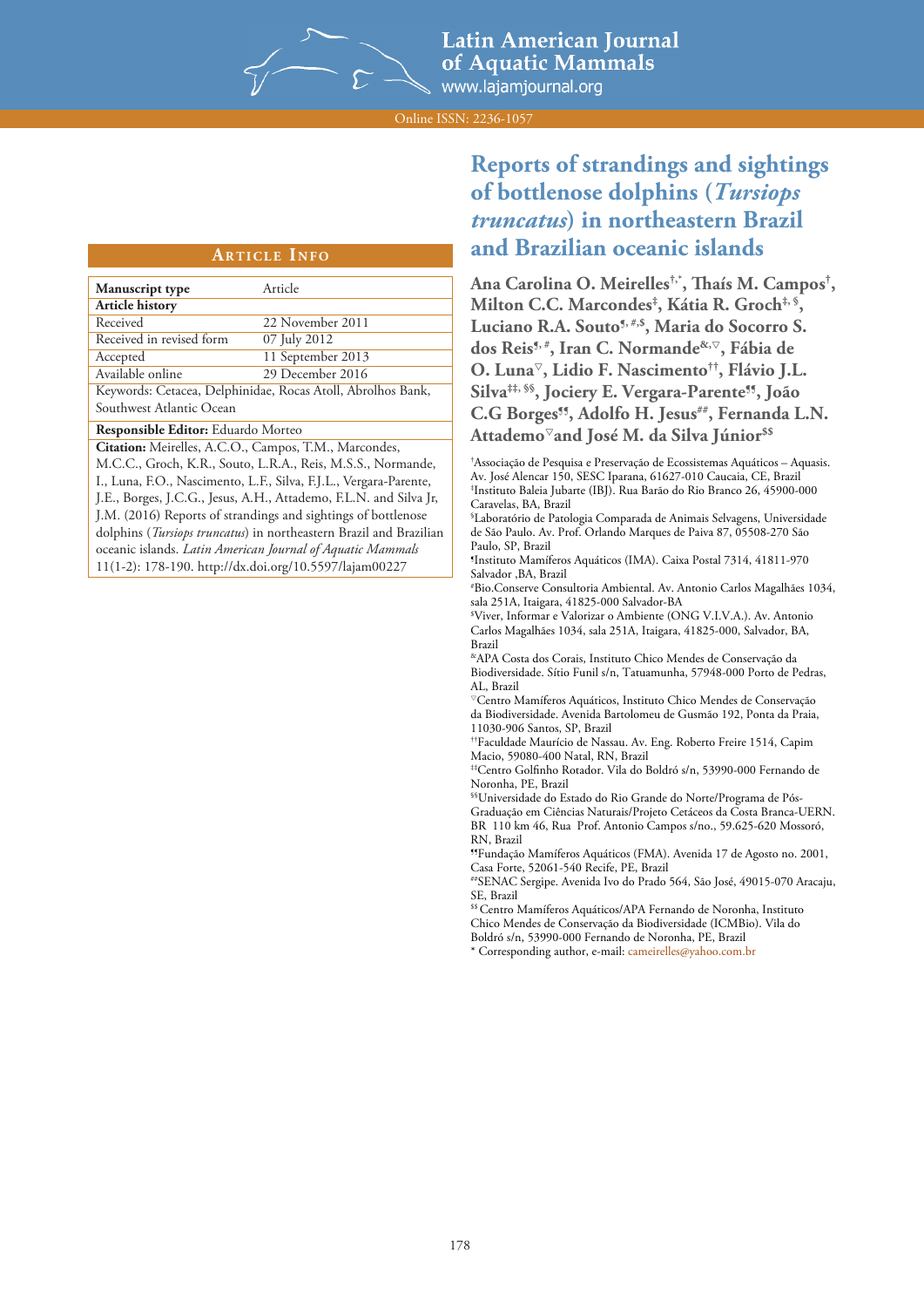

**Latin American Journal** of Aquatic Mammals www.lajamjournal.org

Online ISSN: 2236-1057

### **ARTICLE INFO**

| Manuscript type                                             | Article           |  |  |  |  |  |  |
|-------------------------------------------------------------|-------------------|--|--|--|--|--|--|
| <b>Article history</b>                                      |                   |  |  |  |  |  |  |
| Received                                                    | 22 November 2011  |  |  |  |  |  |  |
| Received in revised form                                    | 07 July 2012      |  |  |  |  |  |  |
| Accepted                                                    | 11 September 2013 |  |  |  |  |  |  |
| Available online                                            | 29 December 2016  |  |  |  |  |  |  |
| Keywords: Cetacea, Delphinidae, Rocas Atoll, Abrolhos Bank, |                   |  |  |  |  |  |  |
| Southwest Atlantic Ocean                                    |                   |  |  |  |  |  |  |

## **Responsible Editor:** Eduardo Morteo

**Citation:** Meirelles, A.C.O., Campos, T.M., Marcondes, M.C.C., Groch, K.R., Souto, L.R.A., Reis, M.S.S., Normande, I., Luna, F.O., Nascimento, L.F., Silva, F.J.L., Vergara-Parente, J.E., Borges, J.C.G., Jesus, A.H., Attademo, F.L.N. and Silva Jr, J.M. (2016) Reports of strandings and sightings of bottlenose dolphins (*Tursiops truncatus*) in northeastern Brazil and Brazilian oceanic islands. *Latin American Journal of Aquatic Mammals* 11(1-2): 178-190. http://dx.doi.org/10.5597/lajam00227



# **Latin American Journal of Aquatic Mammals** I.lajamjournal.org

# **Reports of strandings and sightings of bottlenose dolphins (***Tursiops truncatus***) in northeastern Brazil and Brazilian oceanic islands**

**Ana Carolina O. Meirelles†,\*, Thaís M. Campos† , Milton C.C. Marcondes‡ , Kátia R. Groch‡, §,**  Luciano R.A. Souto<sup>5, #,\$</sup>, Maria do Socorro S. **dos Reis¶, #, Iran C. Normande&,, Fábia de O. Luna, Lidio F. Nascimento††, Flávio J.L. Silva‡‡, §§, Jociery E. Vergara-Parente¶¶, João**  C.G Borges<sup>11</sup>, Adolfo H. Jesus<sup>##</sup>, Fernanda L.N. **Attademoand José M. da Silva Júnior\$\$**

† Associação de Pesquisa e Preservação de Ecossistemas Aquáticos – Aquasis. Av. José Alencar 150, SESC Iparana, 61627-010 Caucaia, CE, Brazil ‡ Instituto Baleia Jubarte (IBJ). Rua Barão do Rio Branco 26, 45900-000 Caravelas, BA, Brazil

§ Laboratório de Patologia Comparada de Animais Selvagens, Universidade de São Paulo. Av. Prof. Orlando Marques de Paiva 87, 05508-270 São Paulo, SP, Brazil

¶ Instituto Mamíferos Aquáticos (IMA). Caixa Postal 7314, 41811-970 Salvador ,BA, Brazil

# Bio.Conserve Consultoria Ambiental. Av. Antonio Carlos Magalhães 1034, sala 251A, Itaigara, 41825-000 Salvador-BA

\$ Viver, Informar e Valorizar o Ambiente (ONG V.I.V.A.). Av. Antonio Carlos Magalhães 1034, sala 251A, Itaigara, 41825-000, Salvador, BA, Brazil

&APA Costa dos Corais, Instituto Chico Mendes de Conservação da Biodiversidade. Sítio Funil s/n, Tatuamunha, 57948-000 Porto de Pedras, AL, Brazil

Centro Mamíferos Aquáticos, Instituto Chico Mendes de Conservação da Biodiversidade. Avenida Bartolomeu de Gusmão 192, Ponta da Praia, 11030-906 Santos, SP, Brazil

††Faculdade Maurício de Nassau. Av. Eng. Roberto Freire 1514, Capim Macio, 59080-400 Natal, RN, Brazil

‡‡Centro Golfinho Rotador. Vila do Boldró s/n, 53990-000 Fernando de Noronha, PE, Brazil

§§Universidade do Estado do Rio Grande do Norte/Programa de Pós-Graduação em Ciências Naturais/Projeto Cetáceos da Costa Branca-UERN. BR 110 km 46, Rua Prof. Antonio Campos s/no., 59.625-620 Mossoró, RN, Brazil

¶¶Fundação Mamíferos Aquáticos (FMA). Avenida 17 de Agosto no. 2001, Casa Forte, 52061-540 Recife, PE, Brazil

##SENAC Sergipe. Avenida Ivo do Prado 564, São José, 49015-070 Aracaju, SE, Brazil

<sup>\$\$</sup> Centro Mamíferos Aquáticos/APA Fernando de Noronha, Instituto Chico Mendes de Conservação da Biodiversidade (ICMBio). Vila do Boldró s/n, 53990-000 Fernando de Noronha, PE, Brazil

\* Corresponding author, e-mail: cameirelles@yahoo.com.br



**Latin American Journal of Aquatic Mammals**

178 www.lajamjournal.org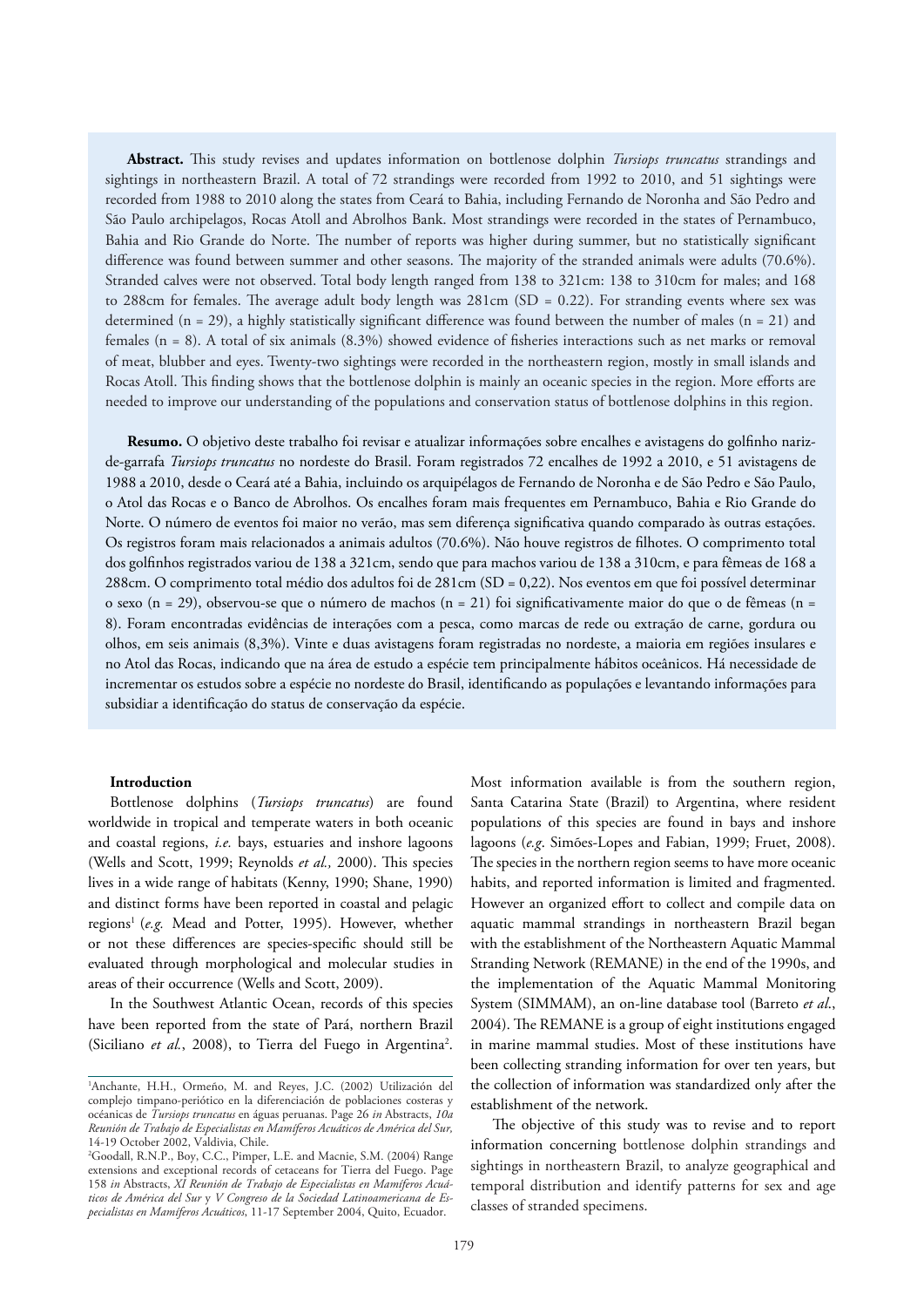**Abstract.** This study revises and updates information on bottlenose dolphin *Tursiops truncatus* strandings and sightings in northeastern Brazil. A total of 72 strandings were recorded from 1992 to 2010, and 51 sightings were recorded from 1988 to 2010 along the states from Ceará to Bahia, including Fernando de Noronha and São Pedro and São Paulo archipelagos, Rocas Atoll and Abrolhos Bank. Most strandings were recorded in the states of Pernambuco, Bahia and Rio Grande do Norte. The number of reports was higher during summer, but no statistically significant difference was found between summer and other seasons. The majority of the stranded animals were adults (70.6%). Stranded calves were not observed. Total body length ranged from 138 to 321cm: 138 to 310cm for males; and 168 to 288cm for females. The average adult body length was 281cm (SD = 0.22). For stranding events where sex was determined  $(n = 29)$ , a highly statistically significant difference was found between the number of males  $(n = 21)$  and females (n = 8). A total of six animals (8.3%) showed evidence of fisheries interactions such as net marks or removal of meat, blubber and eyes. Twenty-two sightings were recorded in the northeastern region, mostly in small islands and Rocas Atoll. This finding shows that the bottlenose dolphin is mainly an oceanic species in the region. More efforts are needed to improve our understanding of the populations and conservation status of bottlenose dolphins in this region.

**Resumo.** O objetivo deste trabalho foi revisar e atualizar informações sobre encalhes e avistagens do golfinho narizde-garrafa *Tursiops truncatus* no nordeste do Brasil. Foram registrados 72 encalhes de 1992 a 2010, e 51 avistagens de 1988 a 2010, desde o Ceará até a Bahia, incluindo os arquipélagos de Fernando de Noronha e de São Pedro e São Paulo, o Atol das Rocas e o Banco de Abrolhos. Os encalhes foram mais frequentes em Pernambuco, Bahia e Rio Grande do Norte. O número de eventos foi maior no verão, mas sem diferença significativa quando comparado às outras estações. Os registros foram mais relacionados a animais adultos (70.6%). Não houve registros de filhotes. O comprimento total dos golfinhos registrados variou de 138 a 321cm, sendo que para machos variou de 138 a 310cm, e para fêmeas de 168 a 288cm. O comprimento total médio dos adultos foi de 281cm (SD = 0,22). Nos eventos em que foi possível determinar o sexo (n = 29), observou-se que o número de machos (n = 21) foi significativamente maior do que o de fêmeas (n = 8). Foram encontradas evidências de interações com a pesca, como marcas de rede ou extração de carne, gordura ou olhos, em seis animais (8,3%). Vinte e duas avistagens foram registradas no nordeste, a maioria em regiões insulares e no Atol das Rocas, indicando que na área de estudo a espécie tem principalmente hábitos oceânicos. Há necessidade de incrementar os estudos sobre a espécie no nordeste do Brasil, identificando as populações e levantando informações para subsidiar a identificação do status de conservação da espécie.

#### **Introduction**

Bottlenose dolphins (*Tursiops truncatus*) are found worldwide in tropical and temperate waters in both oceanic and coastal regions, *i.e.* bays, estuaries and inshore lagoons (Wells and Scott, 1999; Reynolds *et al.,* 2000). This species lives in a wide range of habitats (Kenny, 1990; Shane, 1990) and distinct forms have been reported in coastal and pelagic regions<sup>1</sup> (e.g. Mead and Potter, 1995). However, whether or not these differences are species-specific should still be evaluated through morphological and molecular studies in areas of their occurrence (Wells and Scott, 2009).

In the Southwest Atlantic Ocean, records of this species have been reported from the state of Pará, northern Brazil (Siciliano et al., 2008), to Tierra del Fuego in Argentina<sup>2</sup>.

Most information available is from the southern region, Santa Catarina State (Brazil) to Argentina, where resident populations of this species are found in bays and inshore lagoons (*e.g*. Simões-Lopes and Fabian, 1999; Fruet, 2008). The species in the northern region seems to have more oceanic habits, and reported information is limited and fragmented. However an organized effort to collect and compile data on aquatic mammal strandings in northeastern Brazil began with the establishment of the Northeastern Aquatic Mammal Stranding Network (REMANE) in the end of the 1990s, and the implementation of the Aquatic Mammal Monitoring System (SIMMAM), an on-line database tool (Barreto *et al*., 2004). The REMANE is a group of eight institutions engaged in marine mammal studies. Most of these institutions have been collecting stranding information for over ten years, but the collection of information was standardized only after the establishment of the network.

The objective of this study was to revise and to report information concerning bottlenose dolphin strandings and sightings in northeastern Brazil, to analyze geographical and temporal distribution and identify patterns for sex and age classes of stranded specimens.

<sup>1</sup> Anchante, H.H., Ormeño, M. and Reyes, J.C. (2002) Utilización del complejo timpano-periótico en la diferenciación de poblaciones costeras y océanicas de *Tursiops truncatus* en águas peruanas. Page 26 *in* Abstracts, *10a Reunión de Trabajo de Especialistas en Mamíferos Acuáticos de América del Sur,*  14-19 October 2002, Valdivia, Chile.

<sup>2</sup> Goodall, R.N.P., Boy, C.C., Pimper, L.E. and Macnie, S.M. (2004) Range extensions and exceptional records of cetaceans for Tierra del Fuego. Page 158 *in* Abstracts, *XI Reunión de Trabajo de Especialistas en Mamíferos Acuáticos de América del Sur* y *V Congreso de la Sociedad Latinoamericana de Especialistas en Mamíferos Acuáticos*, 11-17 September 2004, Quito, Ecuador.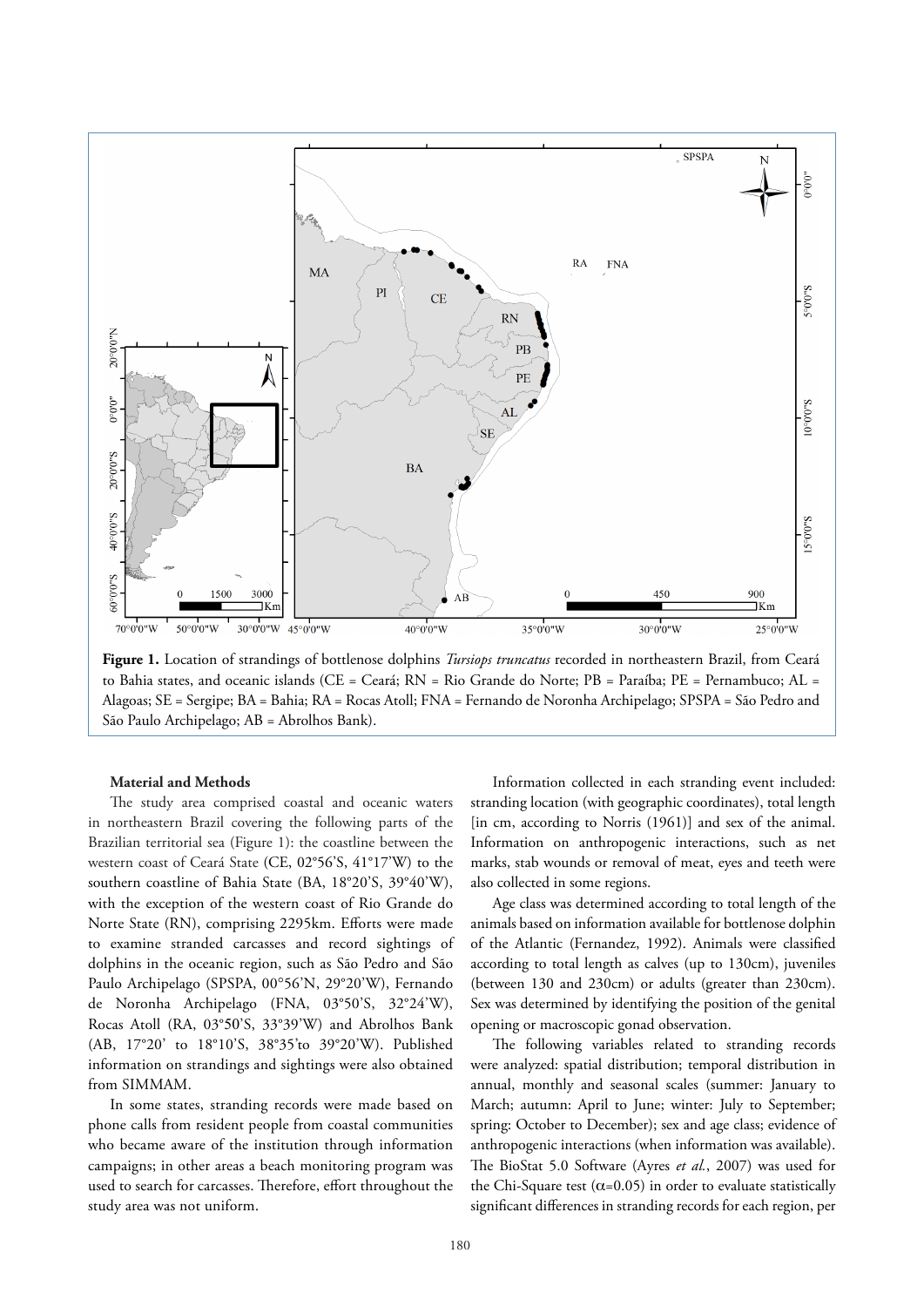

**Figure 1.** Location of strandings of bottlenose dolphins *Tursiops truncatus* recorded in northeastern Brazil, from Ceará to Bahia states, and oceanic islands (CE = Ceará; RN = Rio Grande do Norte; PB = Paraíba; PE = Pernambuco; AL = Alagoas; SE = Sergipe; BA = Bahia; RA = Rocas Atoll; FNA = Fernando de Noronha Archipelago; SPSPA = São Pedro and São Paulo Archipelago; AB = Abrolhos Bank).

#### **Material and Methods**

The study area comprised coastal and oceanic waters in northeastern Brazil covering the following parts of the Brazilian territorial sea (Figure 1): the coastline between the western coast of Ceará State (CE, 02°56'S, 41°17'W) to the southern coastline of Bahia State (BA, 18°20'S, 39°40'W), with the exception of the western coast of Rio Grande do Norte State (RN), comprising 2295km. Efforts were made to examine stranded carcasses and record sightings of dolphins in the oceanic region, such as São Pedro and São Paulo Archipelago (SPSPA, 00°56'N, 29°20'W), Fernando de Noronha Archipelago (FNA, 03°50'S, 32°24'W), Rocas Atoll (RA, 03°50'S, 33°39'W) and Abrolhos Bank (AB, 17°20' to 18°10'S, 38°35'to 39°20'W). Published information on strandings and sightings were also obtained from SIMMAM.

In some states, stranding records were made based on phone calls from resident people from coastal communities who became aware of the institution through information campaigns; in other areas a beach monitoring program was used to search for carcasses. Therefore, effort throughout the study area was not uniform.

Information collected in each stranding event included: stranding location (with geographic coordinates), total length [in cm, according to Norris (1961)] and sex of the animal. Information on anthropogenic interactions, such as net marks, stab wounds or removal of meat, eyes and teeth were also collected in some regions.

Age class was determined according to total length of the animals based on information available for bottlenose dolphin of the Atlantic (Fernandez, 1992). Animals were classified according to total length as calves (up to 130cm), juveniles (between 130 and 230cm) or adults (greater than 230cm). Sex was determined by identifying the position of the genital opening or macroscopic gonad observation.

The following variables related to stranding records were analyzed: spatial distribution; temporal distribution in annual, monthly and seasonal scales (summer: January to March; autumn: April to June; winter: July to September; spring: October to December); sex and age class; evidence of anthropogenic interactions (when information was available). The BioStat 5.0 Software (Ayres *et al.*, 2007) was used for the Chi-Square test ( $\alpha$ =0.05) in order to evaluate statistically significant differences in stranding records for each region, per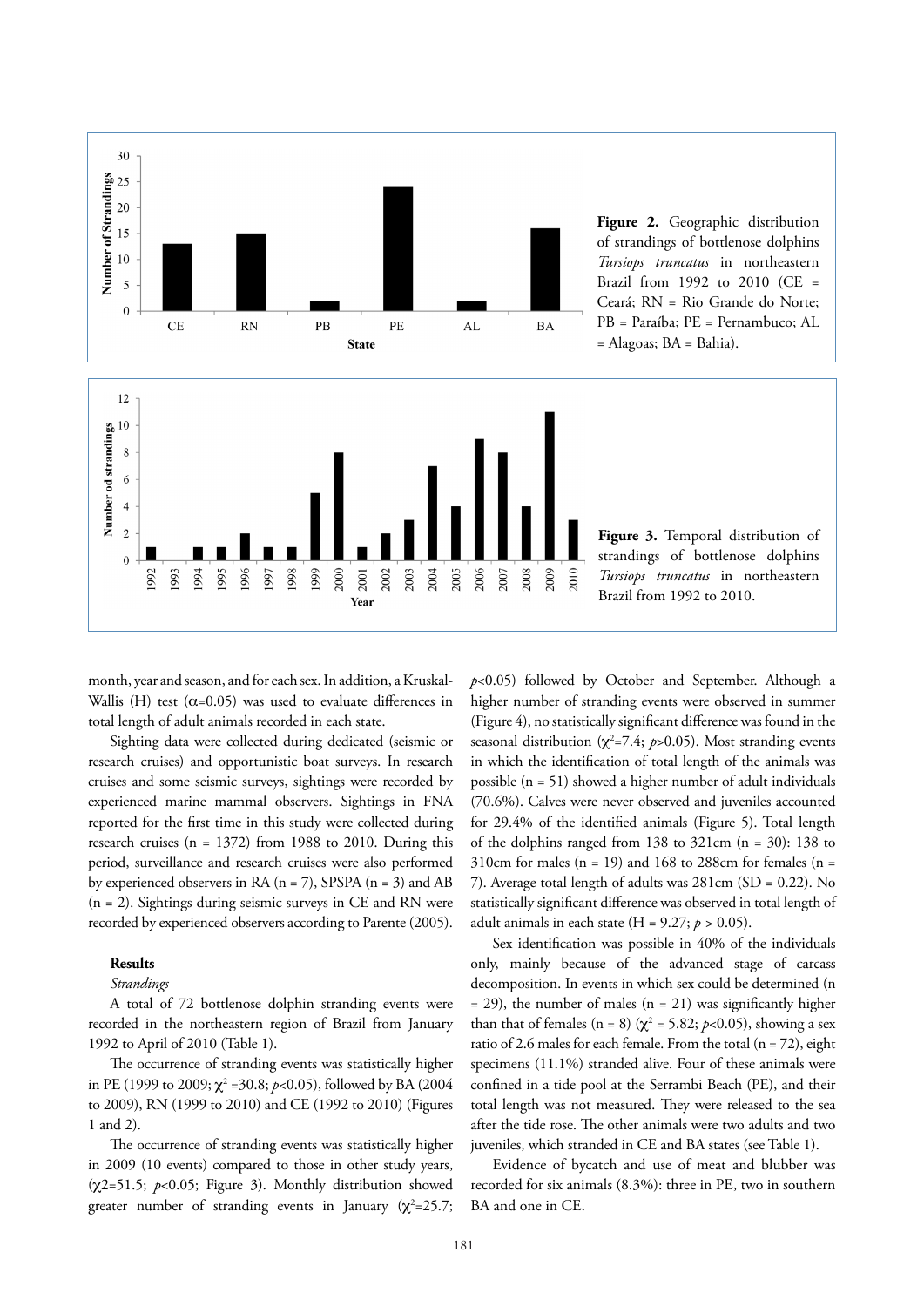

of strandings of bottlenose dolphins *Tursiops truncatus* in northeastern Brazil from 1992 to 2010 (CE = Ceará; RN = Rio Grande do Norte; PB = Paraíba; PE = Pernambuco; AL

month, year and season, and for each sex. In addition, a Kruskal-Wallis (H) test ( $\alpha$ =0.05) was used to evaluate differences in total length of adult animals recorded in each state.

Sighting data were collected during dedicated (seismic or research cruises) and opportunistic boat surveys. In research cruises and some seismic surveys, sightings were recorded by experienced marine mammal observers. Sightings in FNA reported for the first time in this study were collected during research cruises (n = 1372) from 1988 to 2010. During this period, surveillance and research cruises were also performed by experienced observers in RA  $(n = 7)$ , SPSPA  $(n = 3)$  and AB (n = 2). Sightings during seismic surveys in CE and RN were recorded by experienced observers according to Parente (2005).

#### **Results**

#### *Strandings*

A total of 72 bottlenose dolphin stranding events were recorded in the northeastern region of Brazil from January 1992 to April of 2010 (Table 1).

The occurrence of stranding events was statistically higher in PE (1999 to 2009;  $\chi^2$  =30.8; *p*<0.05), followed by BA (2004 to 2009), RN (1999 to 2010) and CE (1992 to 2010) (Figures 1 and 2).

The occurrence of stranding events was statistically higher in 2009 (10 events) compared to those in other study years, ( $\chi$ 2=51.5;  $p$ <0.05; Figure 3). Monthly distribution showed greater number of stranding events in January ( $\chi^2$ =25.7; *p*<0.05) followed by October and September. Although a higher number of stranding events were observed in summer (Figure 4), no statistically significant difference was found in the seasonal distribution ( $\chi^2$ =7.4; *p*>0.05). Most stranding events in which the identification of total length of the animals was possible (n = 51) showed a higher number of adult individuals (70.6%). Calves were never observed and juveniles accounted for 29.4% of the identified animals (Figure 5). Total length of the dolphins ranged from 138 to 321cm  $(n = 30)$ : 138 to 310cm for males ( $n = 19$ ) and 168 to 288cm for females ( $n =$ 7). Average total length of adults was 281cm (SD = 0.22). No statistically significant difference was observed in total length of adult animals in each state  $(H = 9.27; p > 0.05)$ .

Sex identification was possible in 40% of the individuals only, mainly because of the advanced stage of carcass decomposition. In events in which sex could be determined (n  $=$  29), the number of males (n  $=$  21) was significantly higher than that of females (n = 8) ( $\chi^2$  = 5.82; *p*<0.05), showing a sex ratio of 2.6 males for each female. From the total  $(n = 72)$ , eight specimens (11.1%) stranded alive. Four of these animals were confined in a tide pool at the Serrambi Beach (PE), and their total length was not measured. They were released to the sea after the tide rose. The other animals were two adults and two juveniles, which stranded in CE and BA states (see Table 1).

Evidence of bycatch and use of meat and blubber was recorded for six animals (8.3%): three in PE, two in southern BA and one in CE.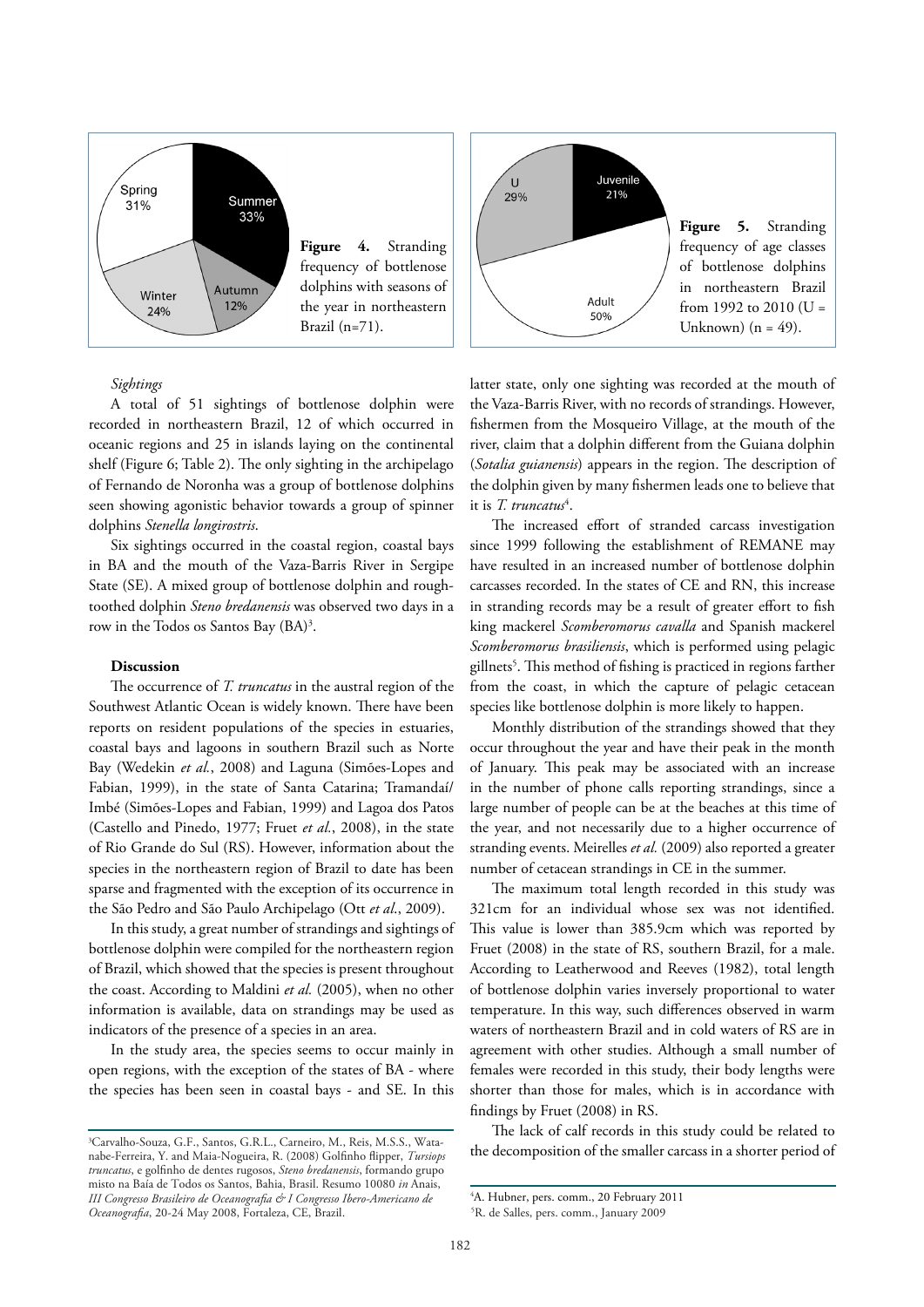



#### *Sightings*

A total of 51 sightings of bottlenose dolphin were recorded in northeastern Brazil, 12 of which occurred in oceanic regions and 25 in islands laying on the continental shelf (Figure 6; Table 2). The only sighting in the archipelago of Fernando de Noronha was a group of bottlenose dolphins seen showing agonistic behavior towards a group of spinner dolphins *Stenella longirostris*.

Six sightings occurred in the coastal region, coastal bays in BA and the mouth of the Vaza-Barris River in Sergipe State (SE). A mixed group of bottlenose dolphin and roughtoothed dolphin *Steno bredanensis* was observed two days in a row in the Todos os Santos Bay (BA)<sup>3</sup>.

#### **Discussion**

The occurrence of *T. truncatus* in the austral region of the Southwest Atlantic Ocean is widely known. There have been reports on resident populations of the species in estuaries, coastal bays and lagoons in southern Brazil such as Norte Bay (Wedekin *et al.*, 2008) and Laguna (Simões-Lopes and Fabian, 1999), in the state of Santa Catarina; Tramandaí/ Imbé (Simões-Lopes and Fabian, 1999) and Lagoa dos Patos (Castello and Pinedo, 1977; Fruet *et al.*, 2008), in the state of Rio Grande do Sul (RS). However, information about the species in the northeastern region of Brazil to date has been sparse and fragmented with the exception of its occurrence in the São Pedro and São Paulo Archipelago (Ott *et al*., 2009).

In this study, a great number of strandings and sightings of bottlenose dolphin were compiled for the northeastern region of Brazil, which showed that the species is present throughout the coast. According to Maldini *et al.* (2005), when no other information is available, data on strandings may be used as indicators of the presence of a species in an area.

In the study area, the species seems to occur mainly in open regions, with the exception of the states of BA - where the species has been seen in coastal bays - and SE. In this latter state, only one sighting was recorded at the mouth of the Vaza-Barris River, with no records of strandings. However, fishermen from the Mosqueiro Village, at the mouth of the river, claim that a dolphin different from the Guiana dolphin (*Sotalia guianensis*) appears in the region. The description of the dolphin given by many fishermen leads one to believe that it is *T. truncatus*<sup>4</sup>.

The increased effort of stranded carcass investigation since 1999 following the establishment of REMANE may have resulted in an increased number of bottlenose dolphin carcasses recorded. In the states of CE and RN, this increase in stranding records may be a result of greater effort to fish king mackerel *Scomberomorus cavalla* and Spanish mackerel *Scomberomorus brasiliensis*, which is performed using pelagic gillnets<sup>5</sup>. This method of fishing is practiced in regions farther from the coast, in which the capture of pelagic cetacean species like bottlenose dolphin is more likely to happen.

Monthly distribution of the strandings showed that they occur throughout the year and have their peak in the month of January. This peak may be associated with an increase in the number of phone calls reporting strandings, since a large number of people can be at the beaches at this time of the year, and not necessarily due to a higher occurrence of stranding events. Meirelles *et al.* (2009) also reported a greater number of cetacean strandings in CE in the summer.

The maximum total length recorded in this study was 321cm for an individual whose sex was not identified. This value is lower than 385.9cm which was reported by Fruet (2008) in the state of RS, southern Brazil, for a male. According to Leatherwood and Reeves (1982), total length of bottlenose dolphin varies inversely proportional to water temperature. In this way, such differences observed in warm waters of northeastern Brazil and in cold waters of RS are in agreement with other studies. Although a small number of females were recorded in this study, their body lengths were shorter than those for males, which is in accordance with findings by Fruet (2008) in RS.

The lack of calf records in this study could be related to the decomposition of the smaller carcass in a shorter period of

<sup>3</sup> Carvalho-Souza, G.F., Santos, G.R.L., Carneiro, M., Reis, M.S.S., Watanabe-Ferreira, Y. and Maia-Nogueira, R. (2008) Golfinho flipper, *Tursiops truncatus*, e golfinho de dentes rugosos, *Steno bredanensis*, formando grupo misto na Baía de Todos os Santos, Bahia, Brasil. Resumo 10080 *in* Anais, *III Congresso Brasileiro de Oceanografia & I Congresso Ibero-Americano de Oceanografia*, 20-24 May 2008, Fortaleza, CE, Brazil.

<sup>4</sup> A. Hubner, pers. comm., 20 February 2011

<sup>5</sup> R. de Salles, pers. comm., January 2009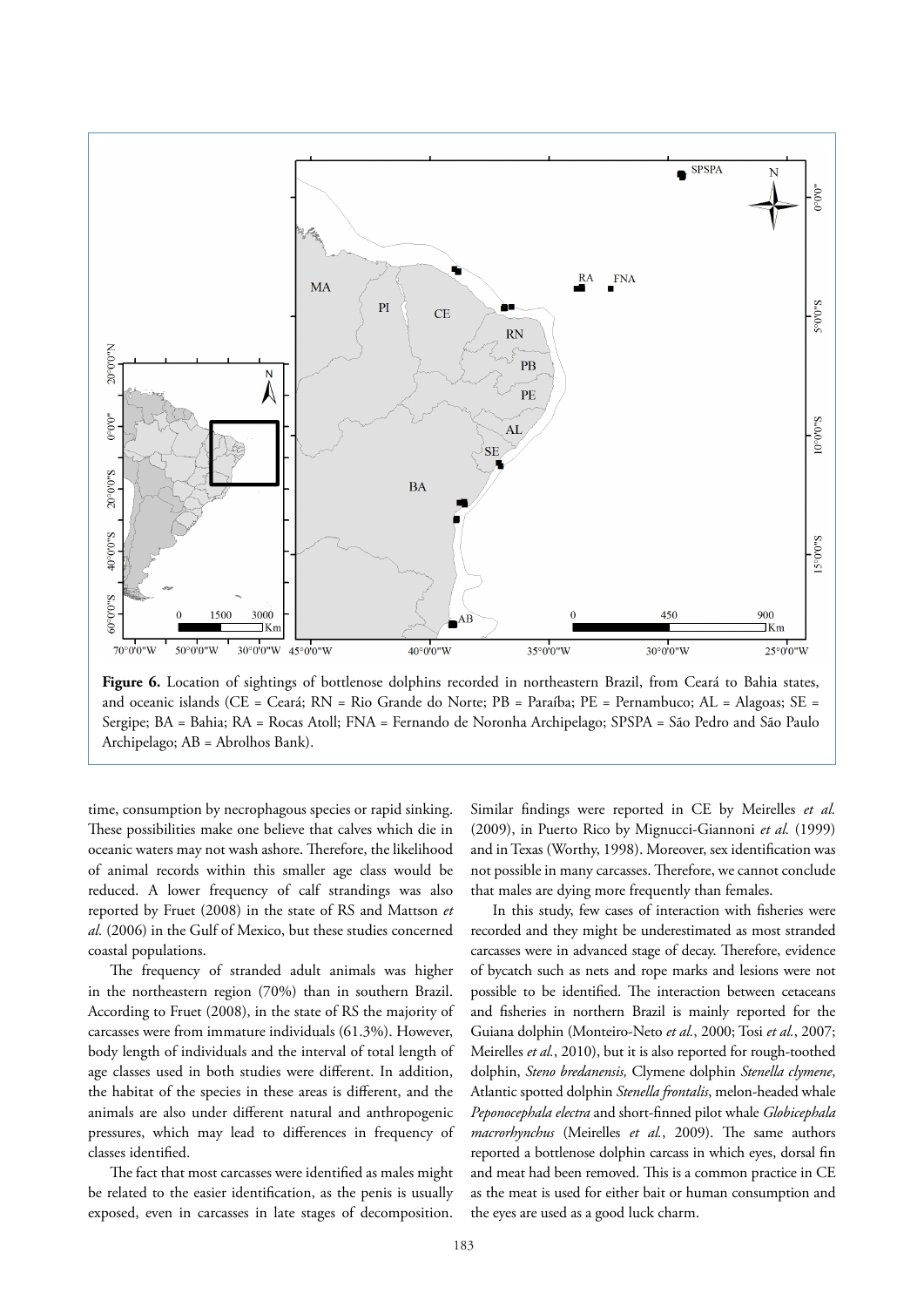

Figure 6. Location of sightings of bottlenose dolphins recorded in northeastern Brazil, from Ceará to Bahia states, and oceanic islands (CE = Ceará; RN = Rio Grande do Norte; PB = Paraíba; PE = Pernambuco; AL = Alagoas; SE = Sergipe; BA = Bahia; RA = Rocas Atoll; FNA = Fernando de Noronha Archipelago; SPSPA = São Pedro and São Paulo Archipelago; AB = Abrolhos Bank).

time, consumption by necrophagous species or rapid sinking. These possibilities make one believe that calves which die in oceanic waters may not wash ashore. Therefore, the likelihood of animal records within this smaller age class would be reduced. A lower frequency of calf strandings was also reported by Fruet (2008) in the state of RS and Mattson *et al.* (2006) in the Gulf of Mexico, but these studies concerned coastal populations.

The frequency of stranded adult animals was higher in the northeastern region (70%) than in southern Brazil. According to Fruet (2008), in the state of RS the majority of carcasses were from immature individuals (61.3%). However, body length of individuals and the interval of total length of age classes used in both studies were different. In addition, the habitat of the species in these areas is different, and the animals are also under different natural and anthropogenic pressures, which may lead to differences in frequency of classes identified.

The fact that most carcasses were identified as males might be related to the easier identification, as the penis is usually exposed, even in carcasses in late stages of decomposition.

Similar findings were reported in CE by Meirelles *et al.* (2009), in Puerto Rico by Mignucci-Giannoni *et al.* (1999) and in Texas (Worthy, 1998). Moreover, sex identification was not possible in many carcasses. Therefore, we cannot conclude that males are dying more frequently than females.

In this study, few cases of interaction with fisheries were recorded and they might be underestimated as most stranded carcasses were in advanced stage of decay. Therefore, evidence of bycatch such as nets and rope marks and lesions were not possible to be identified. The interaction between cetaceans and fisheries in northern Brazil is mainly reported for the Guiana dolphin (Monteiro-Neto *et al.*, 2000; Tosi *et al.*, 2007; Meirelles *et al.*, 2010), but it is also reported for rough-toothed dolphin, *Steno bredanensis,* Clymene dolphin *Stenella clymene*, Atlantic spotted dolphin *Stenella frontalis*, melon-headed whale *Peponocephala electra* and short-finned pilot whale *Globicephala macrorhynchus* (Meirelles *et al.*, 2009). The same authors reported a bottlenose dolphin carcass in which eyes, dorsal fin and meat had been removed. This is a common practice in CE as the meat is used for either bait or human consumption and the eyes are used as a good luck charm.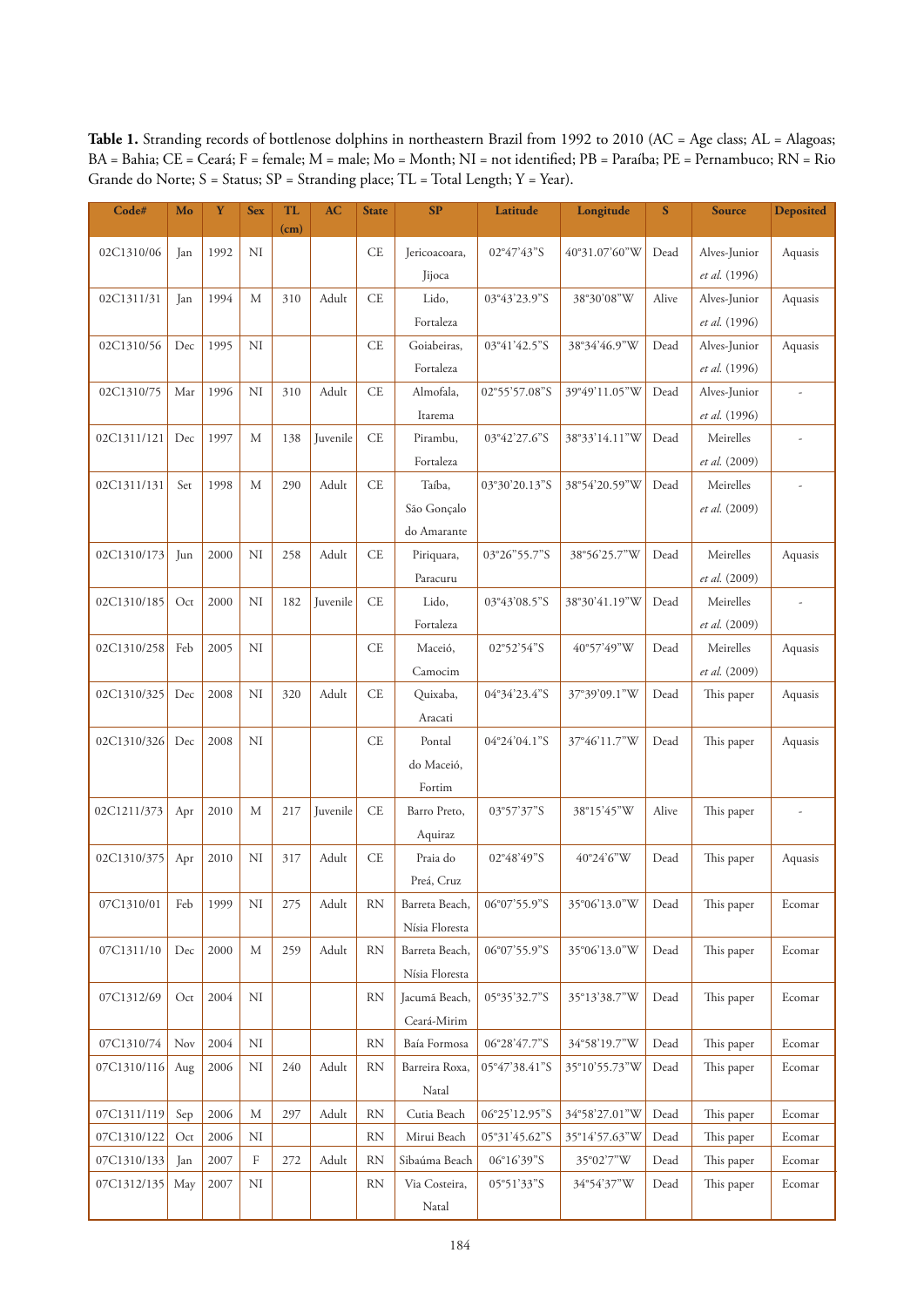Table 1. Stranding records of bottlenose dolphins in northeastern Brazil from 1992 to 2010 (AC = Age class; AL = Alagoas; BA = Bahia; CE = Ceará; F = female; M = male; Mo = Month; NI = not identified; PB = Paraíba; PE = Pernambuco; RN = Rio Grande do Norte; S = Status; SP = Stranding place; TL = Total Length; Y = Year).

| Code#       | Mo  | Y    | <b>Sex</b> | <b>TL</b> | AC       | <b>State</b> | SP             | Latitude      | Longitude     | $\mathbf S$ | <b>Source</b> | <b>Deposited</b>         |
|-------------|-----|------|------------|-----------|----------|--------------|----------------|---------------|---------------|-------------|---------------|--------------------------|
|             |     |      |            | (cm)      |          |              |                |               |               |             |               |                          |
| 02C1310/06  | Jan | 1992 | NI         |           |          | <b>CE</b>    | Jericoacoara,  | 02°47'43"S    | 40°31.07'60"W | Dead        | Alves-Junior  | Aquasis                  |
|             |     |      |            |           |          |              | Jijoca         |               |               |             | et al. (1996) |                          |
| 02C1311/31  | Jan | 1994 | M          | 310       | Adult    | <b>CE</b>    | Lido,          | 03°43'23.9"S  | 38°30'08"W    | Alive       | Alves-Junior  | Aquasis                  |
|             |     |      |            |           |          |              | Fortaleza      |               |               |             | et al. (1996) |                          |
| 02C1310/56  | Dec | 1995 | NI         |           |          | <b>CE</b>    | Goiabeiras,    | 03°41'42.5"S  | 38°34'46.9"W  | Dead        | Alves-Junior  | Aquasis                  |
|             |     |      |            |           |          |              | Fortaleza      |               |               |             | et al. (1996) |                          |
| 02C1310/75  | Mar | 1996 | NI         | 310       | Adult    | CE           | Almofala,      | 02°55'57.08"S | 39°49'11.05"W | Dead        | Alves-Junior  | ÷,                       |
|             |     |      |            |           |          |              | Itarema        |               |               |             | et al. (1996) |                          |
| 02C1311/121 | Dec | 1997 | M          | 138       | Juvenile | <b>CE</b>    | Pirambu,       | 03°42'27.6"S  | 38°33'14.11"W | Dead        | Meirelles     | $\overline{\phantom{a}}$ |
|             |     |      |            |           |          |              | Fortaleza      |               |               |             | et al. (2009) |                          |
| 02C1311/131 | Set | 1998 | M          | 290       | Adult    | CE           | Taíba,         | 03°30'20.13"S | 38°54'20.59"W | Dead        | Meirelles     | J.                       |
|             |     |      |            |           |          |              | São Gonçalo    |               |               |             | et al. (2009) |                          |
|             |     |      |            |           |          |              | do Amarante    |               |               |             |               |                          |
| 02C1310/173 | Jun | 2000 | NI         | 258       | Adult    | <b>CE</b>    | Piriquara,     | 03°26"55.7"S  | 38°56'25.7"W  | Dead        | Meirelles     | Aquasis                  |
|             |     |      |            |           |          |              | Paracuru       |               |               |             | et al. (2009) |                          |
| 02C1310/185 | Oct | 2000 | NI         | 182       | Juvenile | <b>CE</b>    | Lido,          | 03°43'08.5"S  | 38°30'41.19"W | Dead        | Meirelles     |                          |
|             |     |      |            |           |          |              | Fortaleza      |               |               |             | et al. (2009) |                          |
| 02C1310/258 | Feb | 2005 | NI         |           |          | CE           | Maceió,        | 02°52'54"S    | 40°57'49"W    | Dead        | Meirelles     | Aquasis                  |
|             |     |      |            |           |          |              | Camocim        |               |               |             | et al. (2009) |                          |
| 02C1310/325 | Dec | 2008 | NI         | 320       | Adult    | <b>CE</b>    | Quixaba,       | 04°34'23.4"S  | 37°39'09.1"W  | Dead        | This paper    | Aquasis                  |
|             |     |      |            |           |          |              | Aracati        |               |               |             |               |                          |
| 02C1310/326 | Dec | 2008 | NI         |           |          | <b>CE</b>    | Pontal         | 04°24'04.1"S  | 37°46'11.7"W  | Dead        | This paper    | Aquasis                  |
|             |     |      |            |           |          |              | do Maceió,     |               |               |             |               |                          |
|             |     |      |            |           |          |              | Fortim         |               |               |             |               |                          |
| 02C1211/373 | Apr | 2010 | M          | 217       | Juvenile | CE           | Barro Preto,   | 03°57'37"S    | 38°15'45"W    | Alive       | This paper    | $\overline{\phantom{a}}$ |
|             |     |      |            |           |          |              | Aquiraz        |               |               |             |               |                          |
| 02C1310/375 | Apr | 2010 | NI         | 317       | Adult    | CE           | Praia do       | 02°48'49"S    | 40°24'6"W     | Dead        | This paper    | Aquasis                  |
|             |     |      |            |           |          |              | Preá, Cruz     |               |               |             |               |                          |
| 07C1310/01  | Feb | 1999 | NI         | 275       | Adult    | <b>RN</b>    | Barreta Beach, | 06°07'55.9"S  | 35°06'13.0"W  | Dead        | This paper    | Ecomar                   |
|             |     |      |            |           |          |              | Nísia Floresta |               |               |             |               |                          |
| 07C1311/10  | Dec | 2000 | M          | 259       | Adult    | <b>RN</b>    | Barreta Beach, | 06°07'55.9"S  | 35°06'13.0"W  | Dead        | This paper    | Ecomar                   |
|             |     |      |            |           |          |              | Nísia Floresta |               |               |             |               |                          |
| 07C1312/69  | Oct | 2004 | NI         |           |          | <b>RN</b>    | Jacumá Beach,  | 05°35'32.7"S  | 35°13'38.7"W  | Dead        | This paper    | Ecomar                   |
|             |     |      |            |           |          |              | Ceará-Mirim    |               |               |             |               |                          |
| 07C1310/74  | Nov | 2004 | NI         |           |          | <b>RN</b>    | Baía Formosa   | 06°28'47.7"S  | 34°58'19.7"W  | Dead        | This paper    | Ecomar                   |
| 07C1310/116 | Aug | 2006 | NI         | 240       | Adult    | <b>RN</b>    | Barreira Roxa, | 05°47'38.41"S | 35°10'55.73"W | Dead        | This paper    | Ecomar                   |
|             |     |      |            |           |          |              | Natal          |               |               |             |               |                          |
| 07C1311/119 | Sep | 2006 | M          | 297       | Adult    | <b>RN</b>    | Cutia Beach    | 06°25'12.95"S | 34°58'27.01"W | Dead        | This paper    | Ecomar                   |
| 07C1310/122 | Oct | 2006 | NI         |           |          | <b>RN</b>    | Mirui Beach    | 05°31'45.62"S | 35°14'57.63"W | Dead        | This paper    | Ecomar                   |
| 07C1310/133 | Jan | 2007 | $\rm F$    | 272       | Adult    | <b>RN</b>    | Sibaúma Beach  | 06°16'39"S    | 35°02'7"W     | Dead        | This paper    | Ecomar                   |
| 07C1312/135 | May | 2007 | NI         |           |          | <b>RN</b>    | Via Costeira,  | 05°51'33"S    | 34°54'37"W    | Dead        | This paper    | Ecomar                   |
|             |     |      |            |           |          |              | Natal          |               |               |             |               |                          |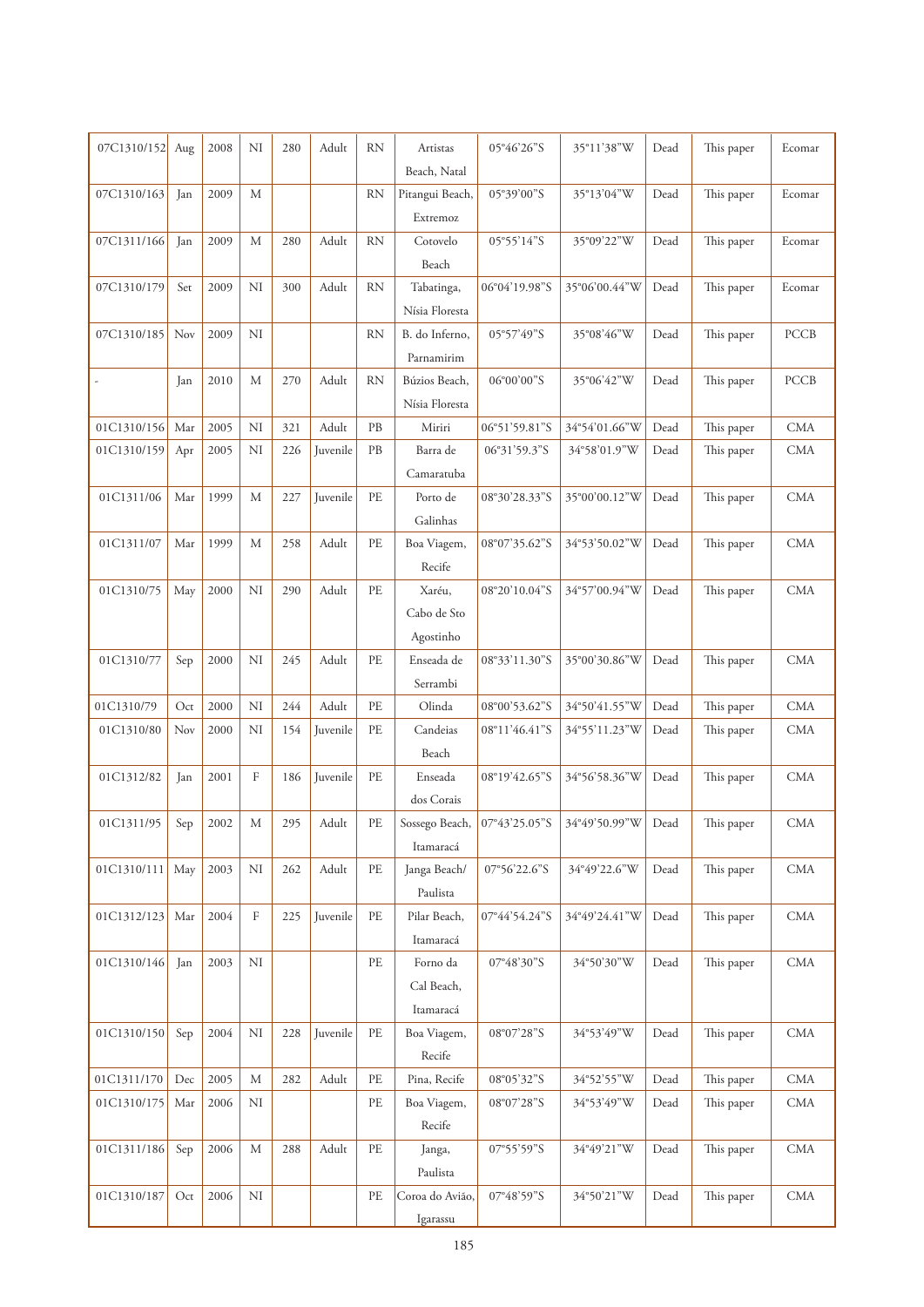| 07C1310/152 | Aug | 2008 | NI          | 280 | Adult    | <b>RN</b>                  | Artistas           | 05°46'26"S    | 35°11'38"W    | Dead | This paper | Ecomar      |
|-------------|-----|------|-------------|-----|----------|----------------------------|--------------------|---------------|---------------|------|------------|-------------|
|             |     |      |             |     |          |                            | Beach, Natal       |               |               |      |            |             |
| 07C1310/163 | Jan | 2009 | M           |     |          | <b>RN</b>                  | Pitangui Beach,    | 05°39'00"S    | 35°13'04"W    | Dead | This paper | Ecomar      |
|             |     |      |             |     |          |                            | Extremoz           |               |               |      |            |             |
| 07C1311/166 | Jan | 2009 | M           | 280 | Adult    | <b>RN</b>                  | Cotovelo           | 05°55'14"S    | 35°09'22"W    | Dead | This paper | Ecomar      |
|             |     |      |             |     |          |                            | Beach              |               |               |      |            |             |
| 07C1310/179 | Set | 2009 | NI          | 300 | Adult    | <b>RN</b>                  | Tabatinga,         | 06°04'19.98"S | 35°06'00.44"W | Dead | This paper | Ecomar      |
|             |     |      |             |     |          |                            | Nísia Floresta     |               |               |      |            |             |
| 07C1310/185 | Nov | 2009 | NI          |     |          | <b>RN</b>                  | B. do Inferno,     | 05°57'49"S    | 35°08'46"W    | Dead | This paper | <b>PCCB</b> |
|             |     |      |             |     |          |                            | Parnamirim         |               |               |      |            |             |
|             | Jan | 2010 | M           | 270 | Adult    | <b>RN</b>                  | Búzios Beach,      | 06°00'00"S    | 35°06'42"W    | Dead | This paper | <b>PCCB</b> |
|             |     |      |             |     |          |                            | Nísia Floresta     |               |               |      |            |             |
| 01C1310/156 | Mar | 2005 | NI          | 321 | Adult    | PB                         | Miriri             | 06°51'59.81"S | 34°54'01.66"W | Dead | This paper | $\rm CMA$   |
| 01C1310/159 | Apr | 2005 | NI          | 226 | Juvenile | PB                         | Barra de           | 06°31'59.3"S  | 34°58'01.9"W  | Dead | This paper | <b>CMA</b>  |
|             |     |      |             |     |          |                            | Camaratuba         |               |               |      |            |             |
| 01C1311/06  | Mar | 1999 | M           | 227 | Juvenile | PE                         | Porto de           | 08°30'28.33"S | 35°00'00.12"W | Dead | This paper | $\rm CMA$   |
|             |     |      |             |     |          |                            | Galinhas           |               |               |      |            |             |
| 01C1311/07  | Mar | 1999 | M           | 258 | Adult    | $\ensuremath{\mathsf{PE}}$ | Boa Viagem,        | 08°07'35.62"S | 34°53'50.02"W | Dead | This paper | <b>CMA</b>  |
|             |     |      |             |     |          |                            | Recife             |               |               |      |            |             |
| 01C1310/75  | May | 2000 | NI          | 290 | Adult    | PE                         | Xaréu,             | 08°20'10.04"S | 34°57'00.94"W | Dead | This paper | $\rm CMA$   |
|             |     |      |             |     |          |                            | Cabo de Sto        |               |               |      |            |             |
|             |     |      | NI          | 245 |          | PE                         | Agostinho          |               |               |      |            |             |
| 01C1310/77  | Sep | 2000 |             |     | Adult    |                            | Enseada de         | 08°33'11.30"S | 35°00'30.86"W | Dead | This paper | $\rm CMA$   |
| 01C1310/79  | Oct | 2000 | NI          | 244 | Adult    | $\ensuremath{\mathsf{PE}}$ | Serrambi<br>Olinda | 08°00'53.62"S | 34°50'41.55"W | Dead | This paper | <b>CMA</b>  |
| 01C1310/80  | Nov | 2000 | NI          | 154 | Juvenile | PE                         | Candeias           | 08°11'46.41"S | 34°55'11.23"W | Dead | This paper | <b>CMA</b>  |
|             |     |      |             |     |          |                            | Beach              |               |               |      |            |             |
| 01C1312/82  | Jan | 2001 | $\mathbf F$ | 186 | Juvenile | $\ensuremath{\mathsf{PE}}$ | Enseada            | 08°19'42.65"S | 34°56'58.36"W | Dead | This paper | <b>CMA</b>  |
|             |     |      |             |     |          |                            | dos Corais         |               |               |      |            |             |
| 01C1311/95  | Sep | 2002 | М           | 295 | Adult    | PE                         | Sossego Beach,     | 07°43'25.05"S | 34°49'50.99"W | Dead | This paper | <b>CMA</b>  |
|             |     |      |             |     |          |                            | Itamaracá          |               |               |      |            |             |
| 01C1310/111 | May | 2003 | $\rm NI$    | 262 | Adult    | PE                         | Janga Beach/       | 07°56'22.6"S  | 34°49'22.6"W  | Dead | This paper | <b>CMA</b>  |
|             |     |      |             |     |          |                            | Paulista           |               |               |      |            |             |
| 01C1312/123 | Mar | 2004 | $\rm F$     | 225 | Juvenile | $\rm PE$                   | Pilar Beach,       | 07°44'54.24"S | 34°49'24.41"W | Dead | This paper | CMA         |
|             |     |      |             |     |          |                            | Itamaracá          |               |               |      |            |             |
| 01C1310/146 | Jan | 2003 | NI          |     |          | $\rm PE$                   | Forno da           | 07°48'30"S    | 34°50'30"W    | Dead | This paper | <b>CMA</b>  |
|             |     |      |             |     |          |                            | Cal Beach,         |               |               |      |            |             |
|             |     |      |             |     |          |                            | Itamaracá          |               |               |      |            |             |
| 01C1310/150 | Sep | 2004 | $\rm NI$    | 228 | Juvenile | PE                         | Boa Viagem,        | 08°07'28"S    | 34°53'49"W    | Dead | This paper | <b>CMA</b>  |
|             |     |      |             |     |          |                            | Recife             |               |               |      |            |             |
| 01C1311/170 | Dec | 2005 | $\mathbf M$ | 282 | Adult    | $\ensuremath{\mathsf{PE}}$ | Pina, Recife       | 08°05'32"S    | 34°52'55"W    | Dead | This paper | $\rm CMA$   |
| 01C1310/175 | Mar | 2006 | NI          |     |          | PE                         | Boa Viagem,        | 08°07'28"S    | 34°53'49"W    | Dead | This paper | CMA         |
|             |     |      |             |     |          |                            | Recife             |               |               |      |            |             |
| 01C1311/186 | Sep | 2006 | $\mathbf M$ | 288 | Adult    | PE                         | Janga,             | 07°55'59"S    | 34°49'21"W    | Dead | This paper | CMA         |
|             |     |      |             |     |          |                            | Paulista           |               |               |      |            |             |
| 01C1310/187 | Oct | 2006 | $\rm{NI}$   |     |          | PE                         | Coroa do Avião,    | 07°48'59"S    | 34°50'21"W    | Dead | This paper | $\rm CMA$   |
|             |     |      |             |     |          |                            | Igarassu           |               |               |      |            |             |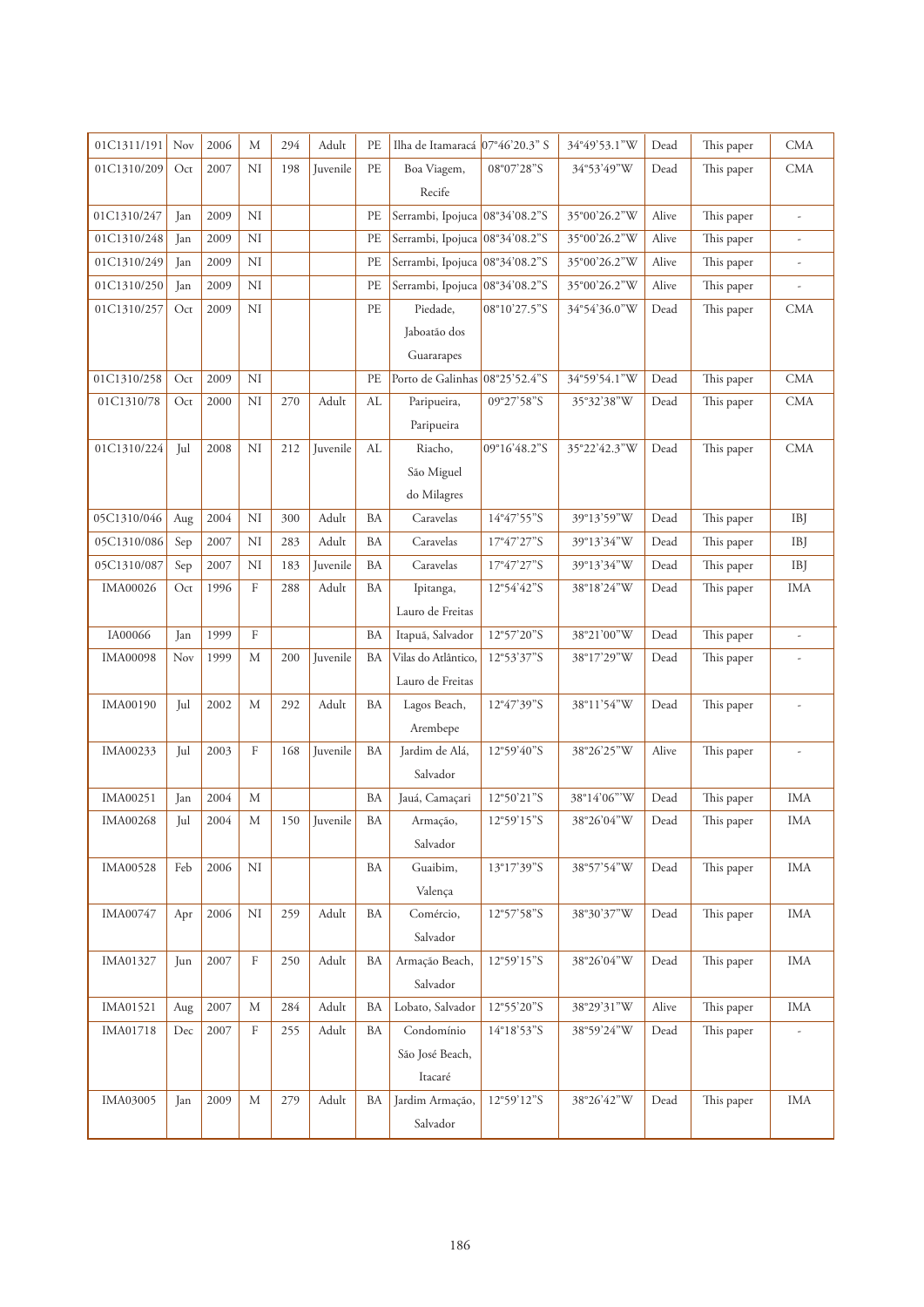| 01C1311/191     | Nov | 2006 | M           | 294 | Adult    | PE            | Ilha de Itamaracá              | 07°46'20.3" S                             | 34°49'53.1"W | Dead  | This paper | <b>CMA</b>               |
|-----------------|-----|------|-------------|-----|----------|---------------|--------------------------------|-------------------------------------------|--------------|-------|------------|--------------------------|
| 01C1310/209     | Oct | 2007 | NI          | 198 | Juvenile | PE            | Boa Viagem,                    | 08°07'28"S                                | 34°53'49"W   | Dead  | This paper | <b>CMA</b>               |
|                 |     |      |             |     |          |               | Recife                         |                                           |              |       |            |                          |
| 01C1310/247     | Jan | 2009 | NI          |     |          | PE            | Serrambi, Ipojuca 08°34'08.2"S |                                           | 35°00'26.2"W | Alive | This paper | $\overline{\phantom{a}}$ |
| 01C1310/248     | Jan | 2009 | NI          |     |          | $\rm PE$      | Serrambi, Ipojuca              | 08°34'08.2"S                              | 35°00'26.2"W | Alive | This paper | $\frac{1}{2}$            |
| 01C1310/249     | Jan | 2009 | NI          |     |          | PE            | Serrambi, Ipojuca 08°34'08.2"S |                                           | 35°00'26.2"W | Alive | This paper | $\overline{a}$           |
| 01C1310/250     | Jan | 2009 | NI          |     |          | PE            | Serrambi, Ipojuca 08°34'08.2"S |                                           | 35°00'26.2"W | Alive | This paper |                          |
| 01C1310/257     | Oct | 2009 | NI          |     |          | PE            | Piedade,                       | 08°10'27.5"S                              | 34°54'36.0"W | Dead  | This paper | <b>CMA</b>               |
|                 |     |      |             |     |          |               | Jaboatão dos                   |                                           |              |       |            |                          |
|                 |     |      |             |     |          |               | Guararapes                     |                                           |              |       |            |                          |
| 01C1310/258     | Oct | 2009 | $\rm NI$    |     |          | PE            | Porto de Galinhas              | 08°25'52.4"S                              | 34°59'54.1"W | Dead  | This paper | <b>CMA</b>               |
| 01C1310/78      | Oct | 2000 | NI          | 270 | Adult    | $\mathbf{AL}$ | Paripueira,                    | 09°27'58"S                                | 35°32'38"W   | Dead  | This paper | <b>CMA</b>               |
|                 |     |      |             |     |          |               | Paripueira                     |                                           |              |       |            |                          |
| 01C1310/224     | Jul | 2008 | NI          | 212 | Juvenile | AL            | Riacho,                        | 09°16'48.2"S                              | 35°22'42.3"W | Dead  | This paper | <b>CMA</b>               |
|                 |     |      |             |     |          |               | São Miguel                     |                                           |              |       |            |                          |
|                 |     |      |             |     |          |               | do Milagres                    |                                           |              |       |            |                          |
| 05C1310/046     | Aug | 2004 | NI          | 300 | Adult    | BA            | Caravelas                      | 14°47'55"S                                | 39°13'59"W   | Dead  | This paper | <b>IBJ</b>               |
| 05C1310/086     | Sep | 2007 | NI          | 283 | Adult    | BA            | Caravelas                      | $17^{\circ}47^{\prime}27^{\prime\prime}S$ | 39°13'34"W   | Dead  | This paper | <b>IBJ</b>               |
| 05C1310/087     | Sep | 2007 | NI          | 183 | Juvenile | BA            | Caravelas                      | 17°47'27"S                                | 39°13'34"W   | Dead  | This paper | <b>IBJ</b>               |
| IMA00026        | Oct | 1996 | $\mathbf F$ | 288 | Adult    | BA            | Ipitanga,                      | 12°54'42"S                                | 38°18'24"W   | Dead  | This paper | <b>IMA</b>               |
|                 |     |      |             |     |          |               | Lauro de Freitas               |                                           |              |       |            |                          |
| IA00066         | Jan | 1999 | $\rm F$     |     |          | BA            | Itapuá, Salvador               | 12°57'20"S                                | 38°21'00"W   | Dead  | This paper | $\overline{\phantom{a}}$ |
| <b>IMA00098</b> | Nov | 1999 | M           | 200 | Juvenile | BA            | Vilas do Atlântico,            | 12°53'37"S                                | 38°17'29"W   | Dead  | This paper |                          |
|                 |     |      |             |     |          |               | Lauro de Freitas               |                                           |              |       |            |                          |
| IMA00190        | Jul | 2002 | М           | 292 | Adult    | BA            | Lagos Beach,                   | 12°47'39"S                                | 38°11'54"W   | Dead  | This paper | $\overline{\phantom{a}}$ |
|                 |     |      |             |     |          |               | Arembepe                       |                                           |              |       |            |                          |
| IMA00233        | Jul | 2003 | $\rm F$     | 168 | Juvenile | BA            | Jardim de Alá,                 | 12°59'40"S                                | 38°26'25"W   | Alive | This paper | $\frac{1}{2}$            |
|                 |     |      |             |     |          |               | Salvador                       |                                           |              |       |            |                          |
| IMA00251        | Jan | 2004 | M           |     |          | <b>BA</b>     | Jauá, Camaçari                 | 12°50'21"S                                | 38°14'06"'W  | Dead  | This paper | <b>IMA</b>               |
| <b>IMA00268</b> | Jul | 2004 | М           | 150 | Juvenile | BA            | Armação,                       | 12°59'15"S                                | 38°26'04"W   | Dead  | This paper | IMA                      |
|                 |     |      |             |     |          |               | Salvador                       |                                           |              |       |            |                          |
| <b>IMA00528</b> | Feb | 2006 | NI          |     |          | BA            | Guaibim,                       | 13°17'39"S                                | 38°57'54"W   | Dead  | This paper | <b>IMA</b>               |
|                 |     |      |             |     |          |               | Valença                        |                                           |              |       |            |                          |
| IMA00747        | Apr | 2006 | NI          | 259 | Adult    | BA            | Comércio,                      | 12°57'58"S                                | 38°30'37"W   | Dead  | This paper | <b>IMA</b>               |
|                 |     |      |             |     |          |               | Salvador                       |                                           |              |       |            |                          |
| IMA01327        | Jun | 2007 | F           | 250 | Adult    | ΒA            | Armação Beach,                 | 12°59'15"S                                | 38°26'04"W   | Dead  | This paper | IMA                      |
|                 |     |      |             |     |          |               | Salvador                       |                                           |              |       |            |                          |
| IMA01521        | Aug | 2007 | М           | 284 | Adult    | BA            | Lobato, Salvador               | 12°55'20"S                                | 38°29'31"W   | Alive | This paper | IMA                      |
| IMA01718        | Dec | 2007 | $\rm F$     | 255 | Adult    | BA            | Condomínio                     | 14°18'53"S                                | 38°59'24"W   | Dead  | This paper | $\overline{\phantom{a}}$ |
|                 |     |      |             |     |          |               | São José Beach,                |                                           |              |       |            |                          |
|                 |     |      |             |     |          |               | Itacaré                        |                                           |              |       |            |                          |
| IMA03005        | Jan | 2009 | $\mathbf M$ | 279 | Adult    | BA            | Jardim Armação,                | 12°59'12"S                                | 38°26'42"W   | Dead  | This paper | <b>IMA</b>               |
|                 |     |      |             |     |          |               |                                |                                           |              |       |            |                          |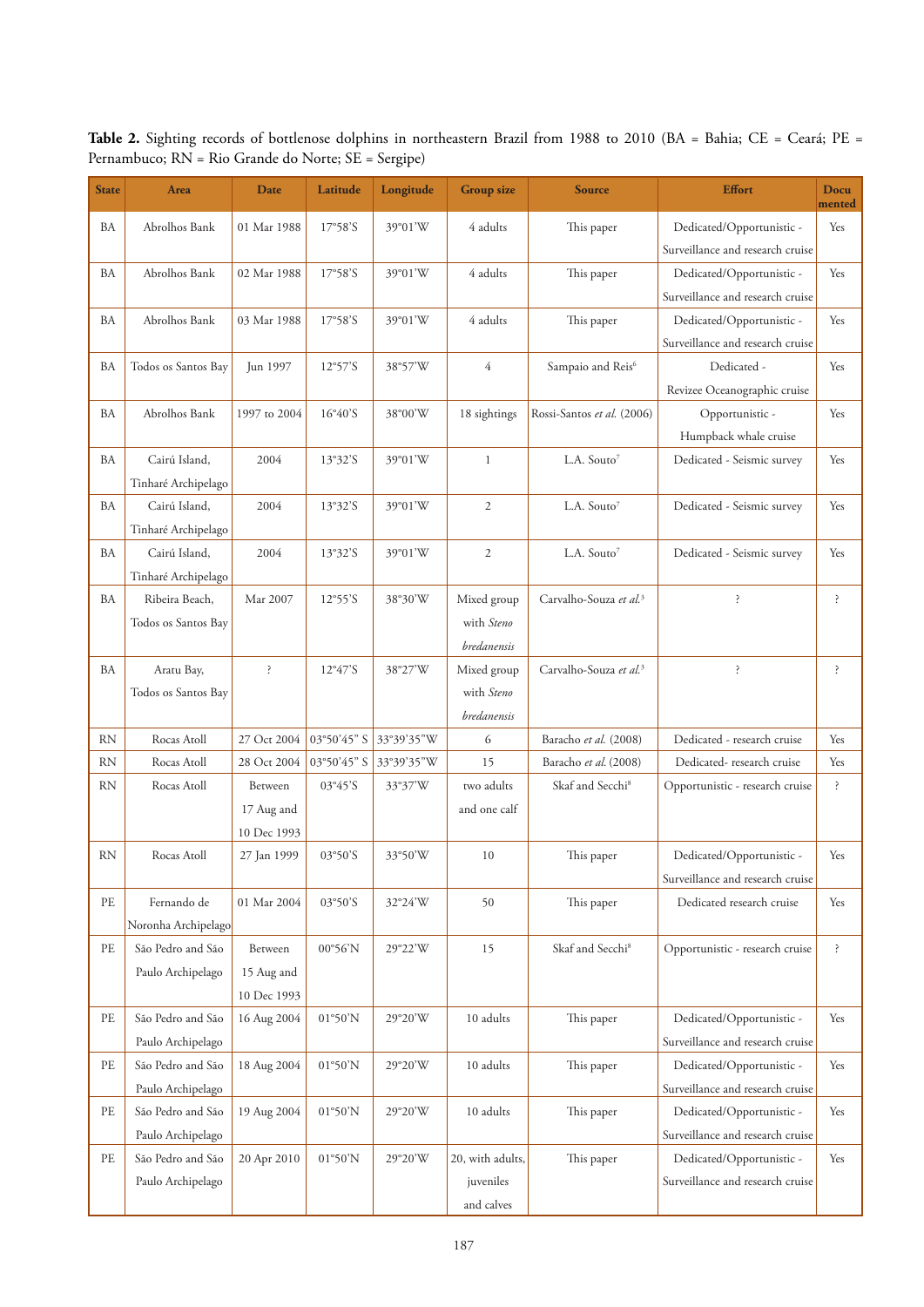Table 2. Sighting records of bottlenose dolphins in northeastern Brazil from 1988 to 2010 (BA = Bahia; CE = Ceará; PE = Pernambuco; RN = Rio Grande do Norte; SE = Sergipe)

| <b>State</b>               | Area                | Date           | Latitude                 | Longitude  | <b>Group size</b> | <b>Source</b>                      | <b>Effort</b>                    | Docu<br>mented |
|----------------------------|---------------------|----------------|--------------------------|------------|-------------------|------------------------------------|----------------------------------|----------------|
| BA                         | Abrolhos Bank       | 01 Mar 1988    | 17°58'S                  | 39°01'W    | 4 adults          | This paper                         | Dedicated/Opportunistic -        | Yes            |
|                            |                     |                |                          |            |                   |                                    | Surveillance and research cruise |                |
| BA                         | Abrolhos Bank       | 02 Mar 1988    | 17°58'S                  | 39°01'W    | 4 adults          | This paper                         | Dedicated/Opportunistic -        | Yes            |
|                            |                     |                |                          |            |                   |                                    | Surveillance and research cruise |                |
| BA                         | Abrolhos Bank       | 03 Mar 1988    | 17°58'S                  | 39°01'W    | 4 adults          | This paper                         | Dedicated/Opportunistic -        | Yes            |
|                            |                     |                |                          |            |                   |                                    | Surveillance and research cruise |                |
| BA                         | Todos os Santos Bay | Jun 1997       | $12°57'$ S               | 38°57'W    | $\overline{4}$    | Sampaio and Reis <sup>6</sup>      | Dedicated -                      | Yes            |
|                            |                     |                |                          |            |                   |                                    | Revizee Oceanographic cruise     |                |
| BA                         | Abrolhos Bank       | 1997 to 2004   | $16^{\circ}40^{\prime}S$ | 38°00'W    | 18 sightings      | Rossi-Santos et al. (2006)         | Opportunistic -                  | Yes            |
|                            |                     |                |                          |            |                   |                                    | Humpback whale cruise            |                |
| BA                         | Cairú Island,       | 2004           | 13°32'S                  | 39°01'W    | $\mathbf{1}$      | L.A. Souto <sup>7</sup>            | Dedicated - Seismic survey       | Yes            |
|                            | Tinharé Archipelago |                |                          |            |                   |                                    |                                  |                |
| BA                         | Cairú Island,       | 2004           | 13°32'S                  | 39°01'W    | $\mathfrak{2}$    | L.A. Souto <sup>7</sup>            | Dedicated - Seismic survey       | Yes            |
|                            | Tinharé Archipelago |                |                          |            |                   |                                    |                                  |                |
| <b>BA</b>                  | Cairú Island,       | 2004           | 13°32'S                  | 39°01'W    | $\mathfrak{2}$    | L.A. Souto <sup>7</sup>            | Dedicated - Seismic survey       | Yes            |
|                            | Tinharé Archipelago |                |                          |            |                   |                                    |                                  |                |
| BA                         | Ribeira Beach,      | Mar 2007       | $12°55'$ S               | 38°30'W    | Mixed group       | Carvalho-Souza et al. <sup>3</sup> | ļ.                               | ś.             |
|                            | Todos os Santos Bay |                |                          |            | with Steno        |                                    |                                  |                |
|                            |                     |                |                          |            | bredanensis       |                                    |                                  |                |
| BA                         | Aratu Bay,          | ì.             | $12^{\circ}47^{\prime}S$ | 38°27'W    | Mixed group       | Carvalho-Souza et al. <sup>3</sup> | $\ddot{.}$                       | š.             |
|                            | Todos os Santos Bay |                |                          |            | with Steno        |                                    |                                  |                |
|                            |                     |                |                          |            | bredanensis       |                                    |                                  |                |
| <b>RN</b>                  | Rocas Atoll         | 27 Oct 2004    | 03°50'45" S              | 33°39'35"W | 6                 | Baracho et al. (2008)              | Dedicated - research cruise      | Yes            |
| <b>RN</b>                  | Rocas Atoll         | 28 Oct 2004    | 03°50'45" S              | 33°39'35"W | 15                | Baracho et al. (2008)              | Dedicated-research cruise        | Yes            |
| <b>RN</b>                  | Rocas Atoll         | <b>Between</b> | 03°45'S                  | 33°37'W    | two adults        | Skaf and Secchi <sup>8</sup>       | Opportunistic - research cruise  | ?              |
|                            |                     | 17 Aug and     |                          |            | and one calf      |                                    |                                  |                |
|                            |                     | 10 Dec 1993    |                          |            |                   |                                    |                                  |                |
| RN                         | Rocas Atoll         | 27 Jan 1999    | 03°50'S                  | 33°50'W    | 10                | This paper                         | Dedicated/Opportunistic -        | Yes            |
|                            |                     |                |                          |            |                   |                                    | Surveillance and research cruise |                |
| PE                         | Fernando de         | 01 Mar 2004    | 03°50'S                  | 32°24'W    | 50                | This paper                         | Dedicated research cruise        | Yes            |
|                            | Noronha Archipelago |                |                          |            |                   |                                    |                                  |                |
| PE                         | São Pedro and São   | Between        | 00°56'N                  | 29°22'W    | 15                | Skaf and Secchi <sup>8</sup>       | Opportunistic - research cruise  | š.             |
|                            | Paulo Archipelago   | 15 Aug and     |                          |            |                   |                                    |                                  |                |
|                            |                     | 10 Dec 1993    |                          |            |                   |                                    |                                  |                |
| PE                         | São Pedro and São   | 16 Aug 2004    | 01°50'N                  | 29°20'W    | 10 adults         | This paper                         | Dedicated/Opportunistic -        | Yes            |
|                            | Paulo Archipelago   |                |                          |            |                   |                                    | Surveillance and research cruise |                |
| PE                         | São Pedro and São   | 18 Aug 2004    | 01°50'N                  | 29°20'W    | 10 adults         | This paper                         | Dedicated/Opportunistic -        | Yes            |
|                            | Paulo Archipelago   |                |                          |            |                   |                                    | Surveillance and research cruise |                |
| $\ensuremath{\mathsf{PE}}$ | São Pedro and São   | 19 Aug 2004    | 01°50'N                  | 29°20'W    | 10 adults         | This paper                         | Dedicated/Opportunistic -        | Yes            |
|                            | Paulo Archipelago   |                |                          |            |                   |                                    | Surveillance and research cruise |                |
| $\ensuremath{\mathsf{PE}}$ | São Pedro and São   | 20 Apr 2010    | 01°50'N                  | 29°20'W    | 20, with adults,  | This paper                         | Dedicated/Opportunistic -        | Yes            |
|                            | Paulo Archipelago   |                |                          |            | juveniles         |                                    | Surveillance and research cruise |                |
|                            |                     |                |                          |            | and calves        |                                    |                                  |                |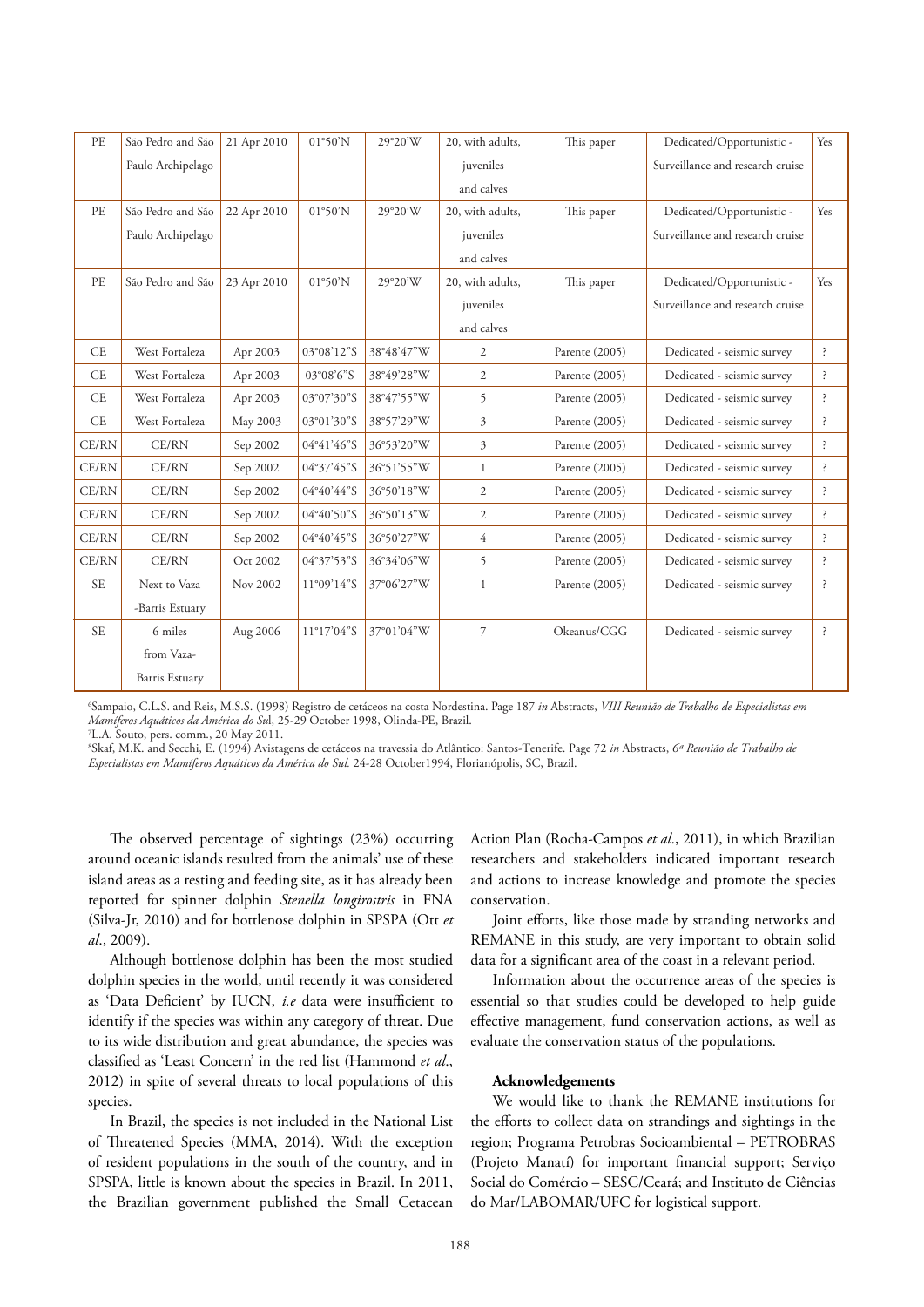| PE        | São Pedro and São     | 21 Apr 2010 | 01°50'N              | 29°20'W    | 20, with adults, | This paper     | Dedicated/Opportunistic -        | Yes          |
|-----------|-----------------------|-------------|----------------------|------------|------------------|----------------|----------------------------------|--------------|
|           | Paulo Archipelago     |             |                      |            | juveniles        |                | Surveillance and research cruise |              |
|           |                       |             |                      |            | and calves       |                |                                  |              |
| PE        | São Pedro and São     | 22 Apr 2010 | 01°50'N              | 29°20'W    | 20, with adults, | This paper     | Dedicated/Opportunistic -        | Yes          |
|           | Paulo Archipelago     |             |                      |            | juveniles        |                | Surveillance and research cruise |              |
|           |                       |             |                      |            | and calves       |                |                                  |              |
| PE        | São Pedro and São     | 23 Apr 2010 | 01°50'N              | 29°20'W    | 20, with adults, | This paper     | Dedicated/Opportunistic -        | Yes          |
|           |                       |             |                      |            | juveniles        |                | Surveillance and research cruise |              |
|           |                       |             |                      |            | and calves       |                |                                  |              |
| CE        | West Fortaleza        | Apr 2003    | 03°08'12"S           | 38°48'47"W | $\overline{2}$   | Parente (2005) | Dedicated - seismic survey       | ?            |
| <b>CE</b> | West Fortaleza        | Apr 2003    | 03°08'6"S            | 38°49'28"W | $\overline{2}$   | Parente (2005) | Dedicated - seismic survey       | ?            |
| <b>CE</b> | West Fortaleza        | Apr 2003    | 03°07'30"S           | 38°47'55"W | 5                | Parente (2005) | Dedicated - seismic survey       | <sup>2</sup> |
| <b>CE</b> | West Fortaleza        | May 2003    | 03°01'30"S           | 38°57'29"W | 3                | Parente (2005) | Dedicated - seismic survey       | <sup>2</sup> |
| CE/RN     | CE/RN                 | Sep 2002    | 04°41'46"S           | 36°53'20"W | 3                | Parente (2005) | Dedicated - seismic survey       | <sup>2</sup> |
| CE/RN     | CE/RN                 | Sep 2002    | 04°37'45"S           | 36°51'55"W | $\mathbf{1}$     | Parente (2005) | Dedicated - seismic survey       | ì.           |
| CE/RN     | CE/RN                 | Sep 2002    | 04°40'44"S           | 36°50'18"W | $\overline{2}$   | Parente (2005) | Dedicated - seismic survey       | <sup>2</sup> |
| CE/RN     | CE/RN                 | Sep 2002    | 04°40'50"S           | 36°50'13"W | $\overline{c}$   | Parente (2005) | Dedicated - seismic survey       | <sup>?</sup> |
| CE/RN     | CE/RN                 | Sep 2002    | 04°40'45"S           | 36°50'27"W | $\overline{4}$   | Parente (2005) | Dedicated - seismic survey       | ?            |
| CE/RN     | CE/RN                 | Oct 2002    | 04°37'53"S           | 36°34'06"W | 5                | Parente (2005) | Dedicated - seismic survey       | <sup>?</sup> |
| <b>SE</b> | Next to Vaza          | Nov 2002    | 11°09'14"S           | 37°06'27"W | $\mathbf{1}$     | Parente (2005) | Dedicated - seismic survey       | <sup>2</sup> |
|           | -Barris Estuary       |             |                      |            |                  |                |                                  |              |
| <b>SE</b> | 6 miles               | Aug 2006    | $11^{\circ}17'04''S$ | 37°01'04"W | $\overline{7}$   | Okeanus/CGG    | Dedicated - seismic survey       | <sup>2</sup> |
|           | from Vaza-            |             |                      |            |                  |                |                                  |              |
|           | <b>Barris Estuary</b> |             |                      |            |                  |                |                                  |              |

6 Sampaio, C.L.S. and Reis, M.S.S. (1998) Registro de cetáceos na costa Nordestina. Page 187 *in* Abstracts, *VIII Reunião de Trabalho de Especialistas em Mamíferos Aquáticos da América do Su*l, 25-29 October 1998, Olinda-PE, Brazil.

7 L.A. Souto, pers. comm., 20 May 2011.

8 Skaf, M.K. and Secchi, E. (1994) Avistagens de cetáceos na travessia do Atlântico: Santos-Tenerife. Page 72 *in* Abstracts, *6ª Reunião de Trabalho de Especialistas em Mamíferos Aquáticos da América do Sul.* 24-28 October1994, Florianópolis, SC, Brazil.

The observed percentage of sightings (23%) occurring around oceanic islands resulted from the animals' use of these island areas as a resting and feeding site, as it has already been reported for spinner dolphin *Stenella longirostris* in FNA (Silva-Jr, 2010) and for bottlenose dolphin in SPSPA (Ott *et al*., 2009).

Although bottlenose dolphin has been the most studied dolphin species in the world, until recently it was considered as 'Data Deficient' by IUCN, *i.e* data were insufficient to identify if the species was within any category of threat. Due to its wide distribution and great abundance, the species was classified as 'Least Concern' in the red list (Hammond *et al*., 2012) in spite of several threats to local populations of this species.

In Brazil, the species is not included in the National List of Threatened Species (MMA, 2014). With the exception of resident populations in the south of the country, and in SPSPA, little is known about the species in Brazil. In 2011, the Brazilian government published the Small Cetacean Action Plan (Rocha-Campos *et al*., 2011), in which Brazilian researchers and stakeholders indicated important research and actions to increase knowledge and promote the species conservation.

Joint efforts, like those made by stranding networks and REMANE in this study, are very important to obtain solid data for a significant area of the coast in a relevant period.

Information about the occurrence areas of the species is essential so that studies could be developed to help guide effective management, fund conservation actions, as well as evaluate the conservation status of the populations.

#### **Acknowledgements**

We would like to thank the REMANE institutions for the efforts to collect data on strandings and sightings in the region; Programa Petrobras Socioambiental – PETROBRAS (Projeto Manatí) for important financial support; Serviço Social do Comércio – SESC/Ceará; and Instituto de Ciências do Mar/LABOMAR/UFC for logistical support.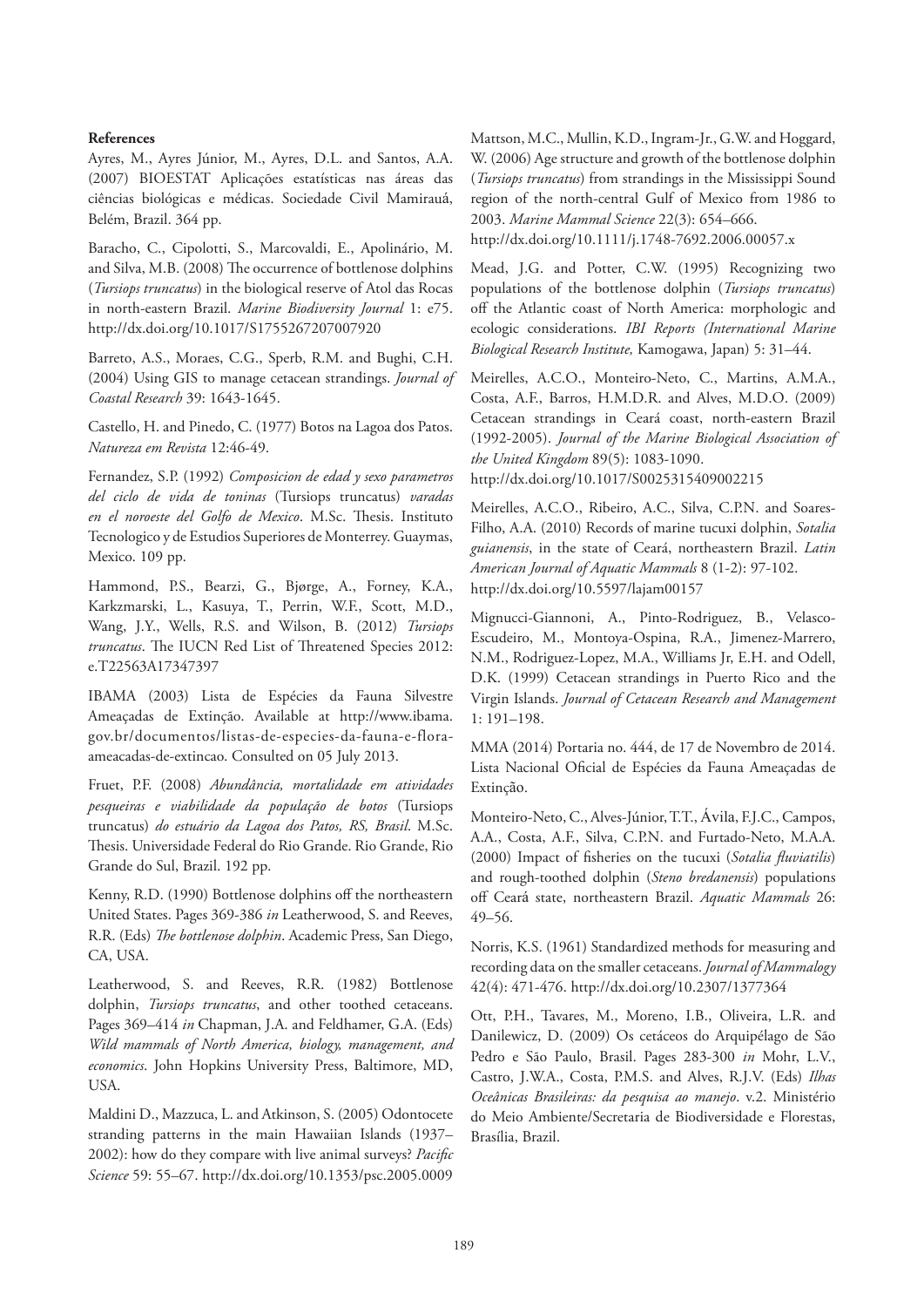#### **References**

Ayres, M., Ayres Júnior, M., Ayres, D.L. and Santos, A.A. (2007) BIOESTAT Aplicações estatísticas nas áreas das ciências biológicas e médicas. Sociedade Civil Mamirauá, Belém, Brazil. 364 pp.

Baracho, C., Cipolotti, S., Marcovaldi, E., Apolinário, M. and Silva, M.B. (2008) The occurrence of bottlenose dolphins (*Tursiops truncatus*) in the biological reserve of Atol das Rocas in north-eastern Brazil. *Marine Biodiversity Journal* 1: e75. http://dx.doi.org/10.1017/S1755267207007920

Barreto, A.S., Moraes, C.G., Sperb, R.M. and Bughi, C.H. (2004) Using GIS to manage cetacean strandings. *Journal of Coastal Research* 39: 1643-1645.

Castello, H. and Pinedo, C. (1977) Botos na Lagoa dos Patos. *Natureza em Revista* 12:46-49.

Fernandez, S.P. (1992) *Composicion de edad y sexo parametros del ciclo de vida de toninas* (Tursiops truncatus) *varadas en el noroeste del Golfo de Mexico*. M.Sc. Thesis. Instituto Tecnologico y de Estudios Superiores de Monterrey. Guaymas, Mexico. 109 pp.

Hammond, P.S., Bearzi, G., Bjørge, A., Forney, K.A., Karkzmarski, L., Kasuya, T., Perrin, W.F., Scott, M.D., Wang, J.Y., Wells, R.S. and Wilson, B. (2012) *Tursiops truncatus*. The IUCN Red List of Threatened Species 2012: e.T22563A17347397

IBAMA (2003) Lista de Espécies da Fauna Silvestre Ameaçadas de Extinção. Available at http://www.ibama. gov.br/documentos/listas-de-especies-da-fauna-e-floraameacadas-de-extincao. Consulted on 05 July 2013.

Fruet, P.F. (2008) *Abundância, mortalidade em atividades pesqueiras e viabilidade da população de botos* (Tursiops truncatus) *do estuário da Lagoa dos Patos, RS, Brasil*. M.Sc. Thesis. Universidade Federal do Rio Grande. Rio Grande, Rio Grande do Sul, Brazil. 192 pp.

Kenny, R.D. (1990) Bottlenose dolphins off the northeastern United States. Pages 369-386 *in* Leatherwood, S. and Reeves, R.R. (Eds) *The bottlenose dolphin*. Academic Press, San Diego, CA, USA.

Leatherwood, S. and Reeves, R.R. (1982) Bottlenose dolphin, *Tursiops truncatus*, and other toothed cetaceans. Pages 369–414 *in* Chapman, J.A. and Feldhamer, G.A. (Eds) *Wild mammals of North America, biology, management, and economics*. John Hopkins University Press, Baltimore, MD, USA.

Maldini D., Mazzuca, L. and Atkinson, S. (2005) Odontocete stranding patterns in the main Hawaiian Islands (1937– 2002): how do they compare with live animal surveys? *Pacific Science* 59: 55–67. http://dx.doi.org/10.1353/psc.2005.0009

Mattson, M.C., Mullin, K.D., Ingram-Jr., G.W. and Hoggard, W. (2006) Age structure and growth of the bottlenose dolphin (*Tursiops truncatus*) from strandings in the Mississippi Sound region of the north-central Gulf of Mexico from 1986 to 2003. *Marine Mammal Science* 22(3): 654–666.

http://dx.doi.org/10.1111/j.1748-7692.2006.00057.x

Mead, J.G. and Potter, C.W. (1995) Recognizing two populations of the bottlenose dolphin (*Tursiops truncatus*) off the Atlantic coast of North America: morphologic and ecologic considerations. *IBI Reports (International Marine Biological Research Institute,* Kamogawa, Japan) 5: 31–44.

Meirelles, A.C.O., Monteiro-Neto, C., Martins, A.M.A., Costa, A.F., Barros, H.M.D.R. and Alves, M.D.O. (2009) Cetacean strandings in Ceará coast, north-eastern Brazil (1992-2005). *Journal of the Marine Biological Association of the United Kingdom* 89(5): 1083-1090. http://dx.doi.org/10.1017/S0025315409002215

Meirelles, A.C.O., Ribeiro, A.C., Silva, C.P.N. and Soares-Filho, A.A. (2010) Records of marine tucuxi dolphin, *Sotalia guianensis*, in the state of Ceará, northeastern Brazil. *Latin American Journal of Aquatic Mammals* 8 (1-2): 97-102. http://dx.doi.org/10.5597/lajam00157

Mignucci-Giannoni, A., Pinto-Rodriguez, B., Velasco-Escudeiro, M., Montoya-Ospina, R.A., Jimenez-Marrero, N.M., Rodriguez-Lopez, M.A., Williams Jr, E.H. and Odell, D.K. (1999) Cetacean strandings in Puerto Rico and the Virgin Islands. *Journal of Cetacean Research and Management* 1: 191–198.

MMA (2014) Portaria no. 444, de 17 de Novembro de 2014. Lista Nacional Oficial de Espécies da Fauna Ameaçadas de Extinção.

Monteiro-Neto, C., Alves-Júnior, T.T., Ávila, F.J.C., Campos, A.A., Costa, A.F., Silva, C.P.N. and Furtado-Neto, M.A.A. (2000) Impact of fisheries on the tucuxi (*Sotalia fluviatilis*) and rough-toothed dolphin (*Steno bredanensis*) populations off Ceará state, northeastern Brazil. *Aquatic Mammals* 26: 49–56.

Norris, K.S. (1961) Standardized methods for measuring and recording data on the smaller cetaceans. *Journal of Mammalogy* 42(4): 471-476. http://dx.doi.org/10.2307/1377364

Ott, P.H., Tavares, M., Moreno, I.B., Oliveira, L.R. and Danilewicz, D. (2009) Os cetáceos do Arquipélago de São Pedro e São Paulo, Brasil. Pages 283-300 *in* Mohr, L.V., Castro, J.W.A., Costa, P.M.S. and Alves, R.J.V. (Eds) *Ilhas Oceânicas Brasileiras: da pesquisa ao manejo*. v.2. Ministério do Meio Ambiente/Secretaria de Biodiversidade e Florestas, Brasília, Brazil.